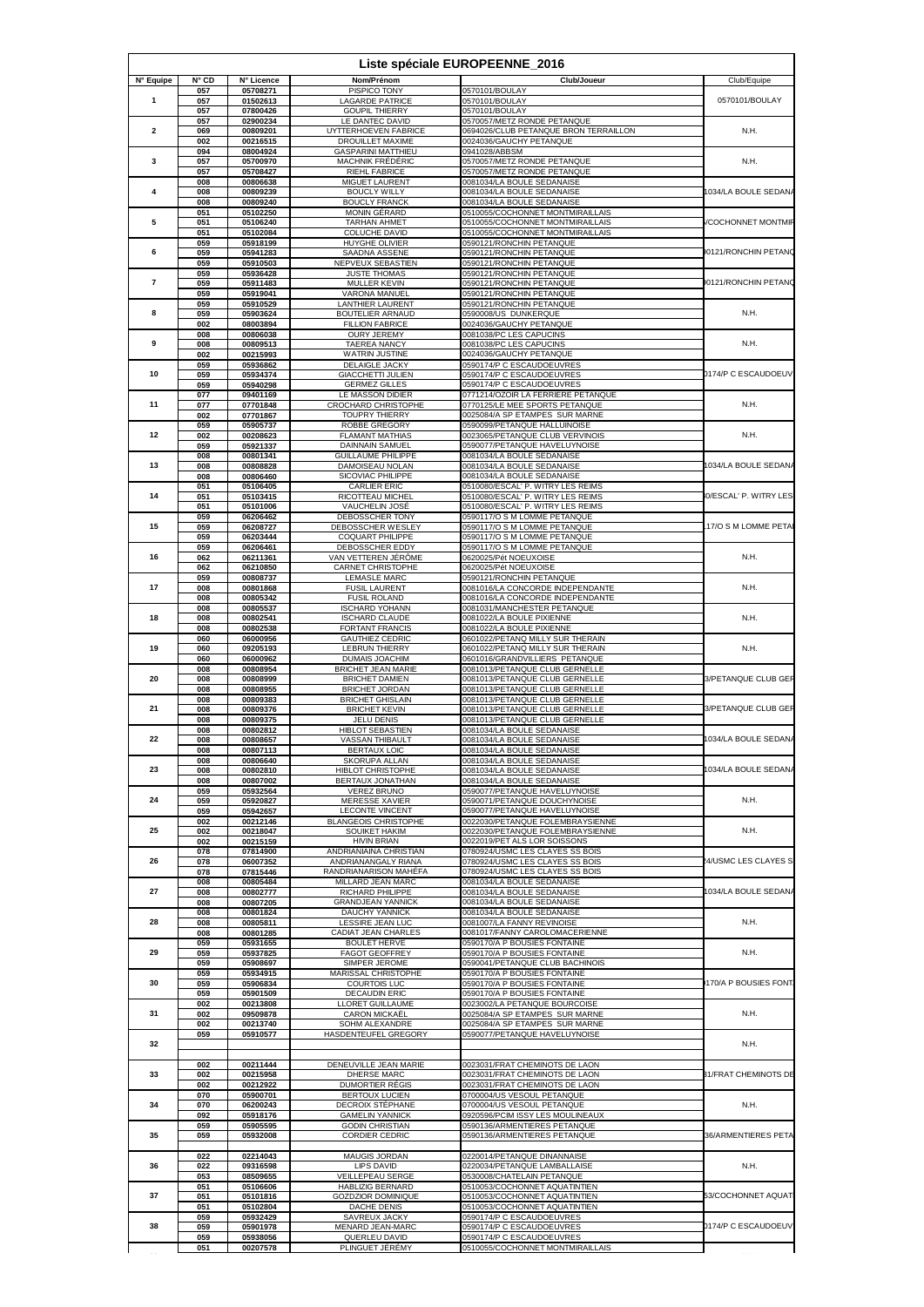|                          |                       |                        |                                                       | Liste spéciale EUROPEENNE_2016                                       |                          |
|--------------------------|-----------------------|------------------------|-------------------------------------------------------|----------------------------------------------------------------------|--------------------------|
| N° Equipe                | $N^{\circ}$ CD<br>057 | N° Licence<br>05708271 | Nom/Prénom<br>PISPICO TONY                            | Club/Joueur<br>0570101/BOULAY                                        | Club/Equipe              |
| 1                        | 057                   | 01502613               | <b>LAGARDE PATRICE</b>                                | 0570101/BOULA\                                                       | 0570101/BOULAY           |
|                          | 057<br>057            | 07800426<br>02900234   | <b>GOUPIL THIERRY</b><br>LE DANTEC DAVID              | 0570101/BOULAY<br>0570057/METZ RONDE PETANQUE                        |                          |
| 2                        | 069<br>002            | 00809201<br>00216515   | UYTTERHOEVEN FABRICE<br>DROUILLET MAXIME              | 0694026/CLUB PETANQUE BRON TERRAILLON<br>0024036/GAUCHY PETANQUE     | N.H.                     |
| 3                        | 094<br>057            | 08004924<br>05700970   | <b>GASPARINI MATTHIEU</b><br>MACHNIK FRÉDÉRIC         | 0941028/ABBSM<br>0570057/METZ RONDE PETANQUE                         | N.H.                     |
|                          | 057                   | 05708427               | <b>RIEHL FABRICE</b>                                  | 0570057/METZ RONDE PETANQUE                                          |                          |
| 4                        | 008<br>008            | 00806638<br>00809239   | MIGUET LAURENT<br><b>BOUCLY WILLY</b>                 | 0081034/LA BOULE SEDANAISE<br>0081034/LA BOULE SEDANAISE             | 034/LA BOULE SEDANA      |
|                          | 008<br>051            | 00809240<br>05102250   | <b>BOUCLY FRANCK</b><br><b>MONIN GÉRARD</b>           | 0081034/LA BOULE SEDANAISE<br>0510055/COCHONNET MONTMIRAILLAIS       |                          |
| 5                        | 051<br>051            | 05106240<br>05102084   | <b>TARHAN AHMET</b><br><b>COLUCHE DAVID</b>           | 0510055/COCHONNET MONTMIRAILLAIS<br>0510055/COCHONNET MONTMIRAILLAIS | <b>COCHONNET MONTMIR</b> |
|                          | 059                   | 05918199               | HUYGHE OLIVIER                                        | 0590121/RONCHIN PETANQUE                                             |                          |
| 6                        | 059<br>059            | 05941283<br>05910503   | SAADNA ASSENE<br>NEPVEUX SEBASTIEN                    | 0590121/RONCHIN PETANQUE<br>0590121/RONCHIN PETANQUE                 | 0121/RONCHIN PETANG      |
| $\overline{\phantom{a}}$ | 059<br>059            | 05936428<br>05911483   | <b>JUSTE THOMAS</b><br>MULLER KEVIN                   | 0590121/RONCHIN PETANQUE<br>0590121/RONCHIN PETANQUE                 | 0121/RONCHIN PETANG      |
|                          | 059                   | 05919041               | VARONA MANUEL                                         | 0590121/RONCHIN PETANQUE                                             |                          |
| 8                        | 059<br>059            | 05910529<br>05903624   | <b>LANTHIER LAURENT</b><br>BOUTELIER ARNAUD           | 0590121/RONCHIN PETANQUE<br>0590008/US DUNKERQUE                     | N.H.                     |
|                          | 002<br>008            | 08003894<br>00806038   | <b>FILLION FABRICE</b><br><b>OURY JEREMY</b>          | 0024036/GAUCHY PETANQUE<br>0081038/PC LES CAPUCINS                   |                          |
| 9                        | 008                   | 00809513<br>00215993   | <b>TAEREA NANCY</b>                                   | 0081038/PC LES CAPUCINS<br>0024036/GAUCHY PETANQUE                   | N.H.                     |
|                          | 002<br>059            | 05936862               | <b>WATRIN JUSTINE</b><br>DELAIGLE JACKY               | 0590174/P C ESCAUDOEUVRES                                            |                          |
| 10                       | 059<br>059            | 05934374<br>05940298   | <b>GIACCHETTI JULIEN</b><br><b>GERMEZ GILLES</b>      | 0590174/P C ESCAUDOEUVRES<br>0590174/P C ESCAUDOEUVRES               | 1174/P C ESCAUDOEUV      |
|                          | 077                   | 09401169               | LE MASSON DIDIER                                      | 0771214/OZOIR LA FERRIERE PETANQUE                                   | N.H.                     |
| 11                       | 077<br>002            | 07701848<br>07701867   | CROCHARD CHRISTOPHE<br><b>TOUPRY THIERRY</b>          | 0770125/LE MEE SPORTS PETANQUE<br>0025084/A SP ETAMPES SUR MARNE     |                          |
| 12                       | 059<br>002            | 05905737<br>00208623   | ROBBE GREGORY<br><b>FLAMANT MATHIAS</b>               | 0590099/PETANQUE HALLUINOISE<br>0023065/PETANQUE CLUB VERVINOIS      | N.H.                     |
|                          | 059                   | 05921337               | DAINNAIN SAMUEL                                       | 0590077/PETANQUE HAVELUYNOISE                                        |                          |
| 13                       | 008<br>008            | 00801341<br>00808828   | <b>GUILLAUME PHILIPPE</b><br>DAMOISEAU NOLAN          | 0081034/LA BOULE SEDANAISE<br>0081034/LA BOULE SEDANAISE             | 034/LA BOULE SEDANA      |
|                          | 008<br>051            | 00806460<br>05106405   | SICOVIAC PHILIPPE<br><b>CARLIER ERIC</b>              | 0081034/LA BOULE SEDANAISE<br>0510080/ESCAL' P. WITRY LES REIMS      |                          |
| 14                       | 051                   | 05103415               | RICOTTEAU MICHEL                                      | 0510080/ESCAL' P. WITRY LES REIMS                                    | 0/ESCAL' P. WITRY LES    |
|                          | 051<br>059            | 05101006<br>06206462   | VAUCHELIN JOSÉ<br>DEBOSSCHER TONY                     | 0510080/ESCAL' P. WITRY LES REIMS<br>0590117/O S M LOMME PETANQUE    |                          |
| 15                       | 059<br>059            | 06208727<br>06203444   | DEBOSSCHER WESLEY<br>COQUART PHILIPPE                 | 0590117/O S M LOMME PETANQUE<br>0590117/O S M LOMME PETANQUE         | 17/O S M LOMME PETA      |
|                          | 059                   | 06206461               | DEBOSSCHER EDDY                                       | 0590117/O S M LOMME PETANQUE                                         |                          |
| 16                       | 062<br>062            | 06211361<br>06210850   | VAN VETTEREN JÉRÔME<br>CARNET CHRISTOPHE              | 0620025/Pét NOEUXOISE<br>0620025/Pét NOEUXOISE                       | N.H.                     |
| 17                       | 059<br>008            | 00808737<br>00801868   | <b>LEMASLE MARC</b><br><b>FUSIL LAURENT</b>           | 0590121/RONCHIN PETANQUE<br>0081016/LA CONCORDE INDEPENDANTE         | N.H.                     |
|                          | 008                   | 00805342               | <b>FUSIL ROLAND</b>                                   | 0081016/LA CONCORDE INDEPENDANTE                                     |                          |
| 18                       | 008<br>008            | 00805537<br>00802541   | <b>ISCHARD YOHANN</b><br><b>ISCHARD CLAUDE</b>        | 0081031/MANCHESTER PETANQUE<br>0081022/LA BOULE PIXIENNE             | N.H.                     |
|                          | 008<br>060            | 00802538<br>06000956   | <b>FORTANT FRANCIS</b><br><b>GAUTHIEZ CEDRIC</b>      | 0081022/LA BOULE PIXIENNE<br>0601022/PETANQ MILLY SUR THERAIN        |                          |
| 19                       | 060                   | 09205193               | <b>LEBRUN THIERRY</b>                                 | 0601022/PETANQ MILLY SUR THERAIN                                     | N.H.                     |
|                          | 060<br>008            | 06000962<br>00808954   | DUMAIS JOACHIM<br><b>BRICHET JEAN MARIE</b>           | 0601016/GRANDVILLIERS PETANQUE<br>0081013/PETANQUE CLUB GERNELLE     |                          |
| 20                       | 008<br>008            | 00808999<br>00808955   | <b>BRICHET DAMIEN</b><br><b>BRICHET JORDAN</b>        | 0081013/PETANQUE CLUB GERNELLE<br>0081013/PETANQUE CLUB GERNELLE     | 3/PETANQUE CLUB GEF      |
|                          | 008                   | 00809383               | <b>BRICHET GHISLAIN</b>                               | 0081013/PETANQUE CLUB GERNELLE                                       |                          |
| 21                       | 008<br>008            | 00809376<br>00809375   | <b>BRICHET KEVIN</b><br>JELU DENIS                    | 0081013/PETANQUE CLUB GERNELLE<br>0081013/PETANQUE CLUB GERNELLE     | 3/PETANQUE CLUB GEF      |
| 22                       | 008<br>008            | 00802812<br>00808657   | HIBLOT SEBASTIEN<br>VASSAN THIBAULT                   | 0081034/LA BOULE SEDANAISE<br>0081034/LA BOULE SEDANAISE             | 034/LA BOULE SEDANA      |
|                          | uua                   | UU8U7113               | BERTAUX LUIU                                          | 0081034/LA BOULE SEDANAISI                                           |                          |
| 23                       | 008<br>008            | 00806640<br>00802810   | SKORUPA ALLAN<br><b>HIBLOT CHRISTOPHE</b>             | 0081034/LA BOULE SEDANAISE<br>0081034/LA BOULE SEDANAISE             | 034/LA BOULE SEDANA      |
|                          | 008<br>059            | 00807002<br>05932564   | BERTAUX JONATHAN<br><b>VEREZ BRUNO</b>                | 0081034/LA BOULE SEDANAISE<br>0590077/PETANQUE HAVELUYNOISE          |                          |
| 24                       | 059                   | 05920827               | <b>MERESSE XAVIER</b>                                 | 0590071/PETANQUE DOUCHYNOISE                                         | N.H.                     |
|                          | 059<br>002            | 05942657<br>00212146   | <b>LECONTE VINCENT</b><br><b>BLANGEOIS CHRISTOPHE</b> | 0590077/PETANQUE HAVELUYNOISE<br>0022030/PETANQUE FOLEMBRAYSIENNE    |                          |
| 25                       | 002<br>002            | 00218047<br>00215159   | SOUIKET HAKIM<br><b>HIVIN BRIAN</b>                   | 0022030/PETANQUE FOLEMBRAYSIENNE<br>0022019/PET ALS LOR SOISSONS     | N.H.                     |
|                          | 078                   | 07814900               | ANDRIANIAINA CHRISTIAN                                | 0780924/USMC LES CLAYES SS BOIS                                      |                          |
| 26                       | 078<br>078            | 06007352<br>07815446   | ANDRIANANGALY RIANA<br>RANDRIANARISON MAHÉFA          | 0780924/USMC LES CLAYES SS BOIS<br>0780924/USMC LES CLAYES SS BOIS   | 4/USMC LES CLAYES S      |
| 27                       | 008<br>008            | 00805484<br>00802777   | MILLARD JEAN MARC<br>RICHARD PHILIPPE                 | 0081034/LA BOULE SEDANAISE<br>0081034/LA BOULE SEDANAISE             | 034/LA BOULE SEDANA      |
|                          | 008                   | 00807205               | <b>GRANDJEAN YANNICK</b>                              | 0081034/LA BOULE SEDANAISE                                           |                          |
| 28                       | 008<br>008            | 00801824<br>00805811   | DAUCHY YANNICK<br>LESSIRE JEAN LUC                    | 0081034/LA BOULE SEDANAISE<br>0081007/LA FANNY REVINOISE             | N.H.                     |
|                          | 008<br>059            | 00801285<br>05931655   | CADIAT JEAN CHARLES<br><b>BOULET HERVE</b>            | 0081017/FANNY CAROLOMACERIENNE<br>0590170/A P BOUSIES FONTAINE       |                          |
| 29                       | 059                   | 05937825               | <b>FAGOT GEOFFREY</b>                                 | 0590170/A P BOUSIES FONTAINE                                         | N.H.                     |
|                          | 059<br>059            | 05908697<br>05934915   | SIMPER JEROME<br>MARISSAL CHRISTOPHE                  | 0590041/PETANQUE CLUB BACHINOIS<br>0590170/A P BOUSIES FONTAINE      |                          |
| 30                       | 059<br>059            | 05906834<br>05901509   | <b>COURTOIS LUC</b><br>DECAUDIN ERIC                  | 0590170/A P BOUSIES FONTAINE<br>0590170/A P BOUSIES FONTAINE         | 170/A P BOUSIES FONT     |
| 31                       | 002                   | 00213808               | <b>LLORET GUILLAUME</b>                               | 0023002/LA PETANQUE BOURCOISE                                        | N.H.                     |
|                          | 002<br>002            | 09509878<br>00213740   | <b>CARON MICKAËL</b><br>SOHM ALEXANDRE                | 0025084/A SP ETAMPES SUR MARNE<br>0025084/A SP ETAMPES SUR MARNE     |                          |
| 32                       | 059                   | 05910577               | HASDENTEUFEL GREGORY                                  | 0590077/PETANQUE HAVELUYNOISE                                        | N.H.                     |
|                          |                       |                        |                                                       |                                                                      |                          |
| 33                       | 002<br>002            | 00211444<br>00215958   | DENEUVILLE JEAN MARIE<br><b>DHERSE MARC</b>           | 0023031/FRAT CHEMINOTS DE LAON<br>0023031/FRAT CHEMINOTS DE LAON     | 31/FRAT CHEMINOTS DE     |
|                          | 002<br>070            | 00212922<br>05900701   | DUMORTIER RÉGIS<br><b>BERTOUX LUCIEN</b>              | 0023031/FRAT CHEMINOTS DE LAON<br>0700004/US VESOUL PETANQUE         |                          |
| 34                       | 070                   | 06200243               | DECROIX STÉPHANE                                      | 0700004/US VESOUL PETANQUE                                           | N.H.                     |
| 35                       | 092<br>059            | 05918176<br>05905595   | <b>GAMELIN YANNICK</b><br><b>GODIN CHRISTIAN</b>      | 0920596/PCIM ISSY LES MOULINEAUX<br>0590136/ARMENTIERES PETANQUE     |                          |
|                          | 059                   | 05932008               | CORDIER CEDRIC                                        | 0590136/ARMENTIERES PETANQUE                                         | 36/ARMENTIERES PETA      |
| 36<br>37                 | 022                   | 02214043               | MAUGIS JORDAN                                         | 0220014/PETANQUE DINANNAISE                                          | N.H.                     |
|                          | 022<br>053            | 09316598<br>08509655   | LIPS DAVID<br><b>VEILLEPEAU SERGE</b>                 | 0220034/PETANQUE LAMBALLAISE<br>0530008/CHATELAIN PETANQUE           |                          |
|                          | 051<br>051            | 05106606<br>05101816   | HABLIZIG BERNARD<br><b>GOZDZIOR DOMINIQUE</b>         | 0510053/COCHONNET AQUATINTIEN<br>0510053/COCHONNET AQUATINTIEN       | 53/COCHONNET AQUATI      |
|                          | 051                   | 05102804               | <b>DACHE DENIS</b>                                    | 0510053/COCHONNET AQUATINTIEN                                        |                          |
| 38                       | 059<br>059            | 05932429<br>05901978   | SAVREUX JACKY<br>MENARD JEAN-MARC                     | 0590174/P C ESCAUDOEUVRES<br>0590174/P C ESCAUDOEUVRES               | 0174/P C ESCAUDOEUV      |
|                          | 059<br>051            | 05938056<br>00207578   | QUERLEU DAVID<br>PLINGUET JÉRÉMY                      | 0590174/P C ESCAUDOEUVRES<br>0510055/COCHONNET MONTMIRAILLAIS        |                          |
|                          |                       |                        |                                                       |                                                                      |                          |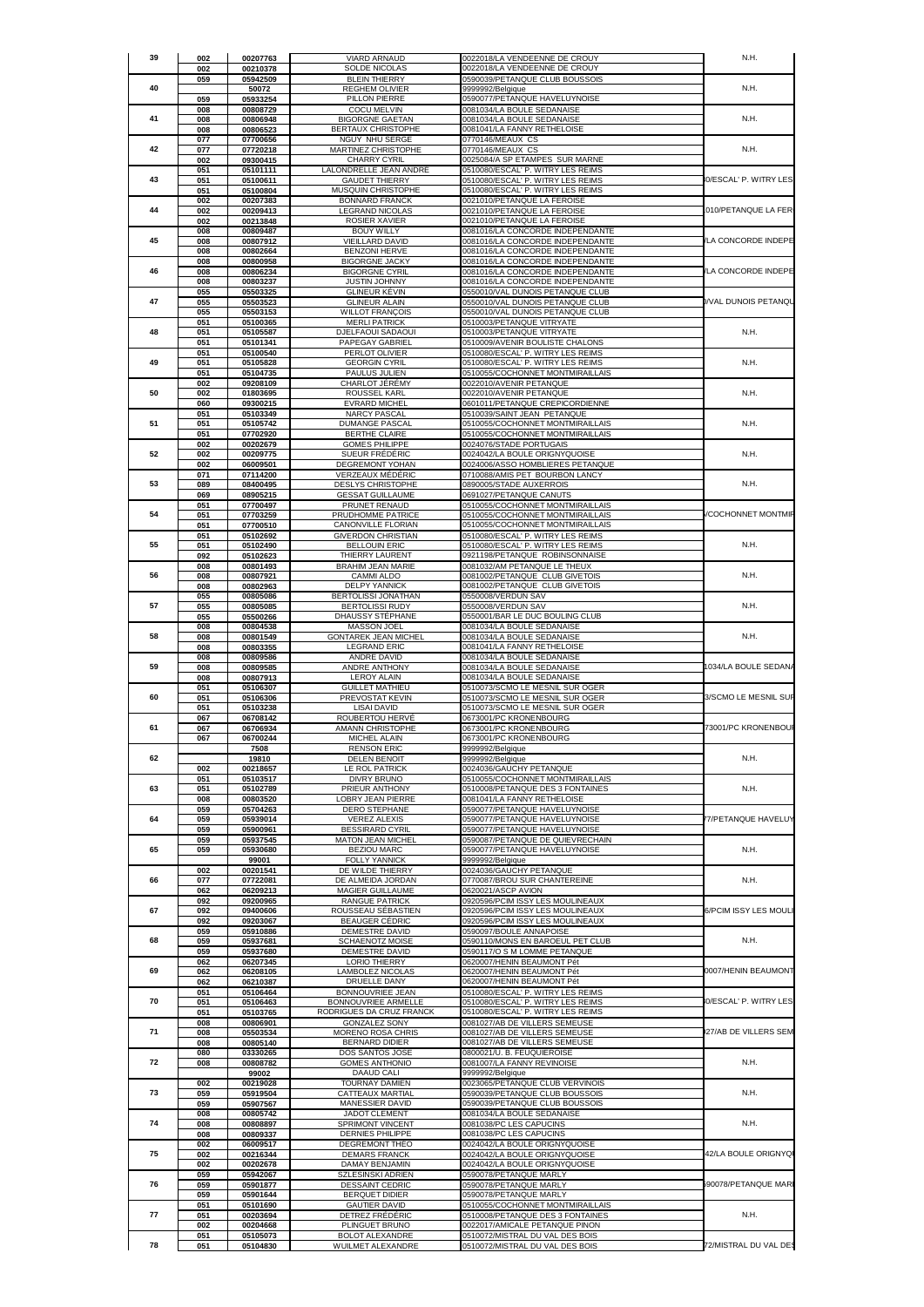| 059<br>05942509<br><b>BLEIN THIERRY</b><br>0590039/PETANQUE CLUB BOUSSOIS<br>40<br>50072<br><b>REGHEM OLIVIER</b><br>9999992/Belgique<br>N.H.<br>0590077/PETANQUE HAVELUYNOISE<br>059<br>05933254<br>PILLON PIERRE<br><b>COCU MELVIN</b><br>0081034/LA BOULE SEDANAISE<br>008<br>00808729<br>41<br>008<br>00806948<br><b>BIGORGNE GAETAN</b><br>0081034/LA BOULE SEDANAISE<br>N.H.<br>008<br><b>BERTAUX CHRISTOPHE</b><br>0081041/LA FANNY RETHELOISE<br>00806523<br>077<br>07700656<br>NGUY NHU SERGE<br>0770146/MEAUX CS<br>42<br>077<br>07720218<br>MARTINEZ CHRISTOPHE<br>0770146/MEAUX CS<br>N.H.<br><b>CHARRY CYRIL</b><br>0025084/A SP ETAMPES SUR MARNE<br>002<br>09300415<br>LALONDRELLE JEAN ANDRÉ<br>0510080/ESCAL' P. WITRY LES REIMS<br>051<br>05101111<br>43<br>0510080/ESCAL' P. WITRY LES REIMS<br>0/ESCAL' P. WITRY LES<br>051<br>05100611<br><b>GAUDET THIERRY</b><br>051<br>05100804<br>MUSQUIN CHRISTOPHE<br>0510080/ESCAL' P. WITRY LES REIMS<br>002<br>00207383<br><b>BONNARD FRANCK</b><br>0021010/PETANQUE LA FEROISE<br>44<br>0021010/PETANQUE LA FEROISE<br>002<br>00209413<br><b>LEGRAND NICOLAS</b><br>010/PETANQUE LA FER<br>ROSIER XAVIER<br>0021010/PETANQUE LA FEROISE<br>002<br>00213848<br>008<br>00809487<br><b>BOUY WILLY</b><br>0081016/LA CONCORDE INDEPENDANTE<br>45<br>LA CONCORDE INDEPE<br>008<br>00807912<br>VIEILLARD DAVID<br>0081016/LA CONCORDE INDEPENDANTE<br>008<br>00802664<br><b>BENZONI HERVE</b><br>0081016/LA CONCORDE INDEPENDANTE<br>008<br>00800958<br><b>BIGORGNE JACKY</b><br>0081016/LA CONCORDE INDEPENDANTE<br>46<br>LA CONCORDE INDEPE<br>0081016/LA CONCORDE INDEPENDANTE<br>00806234<br><b>BIGORGNE CYRIL</b><br>008<br>008<br>JUSTIN JOHNNY<br>0081016/LA CONCORDE INDEPENDANTE<br>00803237<br><b>GLINEUR KÉVIN</b><br>0550010/VAL DUNOIS PETANQUE CLUB<br>055<br>05503325<br>47<br>VAL DUNOIS PETANQU<br>0550010/VAL DUNOIS PETANQUE CLUB<br>055<br>05503523<br><b>GLINEUR ALAIN</b><br><b>WILLOT FRANÇOIS</b><br>0550010/VAL DUNOIS PETANQUE CLUB<br>055<br>05503153<br><b>MERLI PATRICK</b><br>0510003/PETANQUE VITRYATE<br>051<br>05100365<br>N.H.<br>48<br>0510003/PETANQUE VITRYATE<br>051<br>05105587<br>DJELFAOUI SADAOUI<br>PAPEGAY GABRIEL<br>0510009/AVENIR BOULISTE CHALONS<br>051<br>05101341<br>051<br>05100540<br>0510080/ESCAL' P. WITRY LES REIMS<br>PERLOT OLIVIER<br>49<br>0510080/ESCAL' P. WITRY LES REIMS<br>N.H.<br>051<br>05105828<br><b>GEORGIN CYRIL</b><br>051<br>05104735<br><b>PAULUS JULIEN</b><br>0510055/COCHONNET MONTMIRAILLAIS<br>002<br>09208109<br><b>CHARLOT JÉRÉMY</b><br>0022010/AVENIR PETANQUE<br>50<br>ROUSSEL KARL<br>0022010/AVENIR PETANQUE<br>N.H.<br>002<br>01803695<br>09300215<br><b>EVRARD MICHEL</b><br>0601011/PETANQUE CREPICORDIENNE<br>060<br>051<br>05103349<br><b>NARCY PASCAL</b><br>0510039/SAINT JEAN PETANQUE<br>51<br>05105742<br><b>DUMANGE PASCAI</b><br>0510055/COCHONNET MONTMIRAILLAIS<br>N.H.<br>051<br>BERTHE CLAIRE<br>0510055/COCHONNET MONTMIRAILLAIS<br>07702920<br>051<br><b>GOMES PHILIPPE</b><br>0024076/STADE PORTUGAIS<br>002<br>00202679<br>52<br>SUEUR FRÉDÉRIC<br>0024042/LA BOULE ORIGNYQUOISE<br>N.H.<br>002<br>00209775<br><b>DEGREMONT YOHAN</b><br>0024006/ASSO HOMBLIERES PETANQUE<br>002<br>06009501<br>071<br>07114200<br>VERZEAUX MÉDÉRIC<br>0710088/AMIS PET BOURBON LANCY<br>0890005/STADE AUXERROIS<br>N.H.<br>53<br>089<br>08400495<br><b>DESLYS CHRISTOPHE</b><br>0691027/PETANQUE CANUTS<br>069<br>08905215<br><b>GESSAT GUILLAUME</b><br>051<br>07700497<br>PRUNET RENAUD<br>0510055/COCHONNET MONTMIRAILLAIS<br><b>COCHONNET MONTMIR</b><br>54<br>051<br>07703259<br>PRUDHOMME PATRICE<br>0510055/COCHONNET MONTMIRAILLAIS<br>051<br>0510055/COCHONNET MONTMIRAILLAIS<br>07700510<br>CANONVILLE FLORIAN<br>051<br>05102692<br><b>GIVERDON CHRISTIAN</b><br>0510080/ESCAL' P. WITRY LES REIMS<br>N.H.<br>55<br>051<br>05102490<br><b>BELLOUIN ERIC</b><br>0510080/ESCAL' P. WITRY LES REIMS<br>THIERRY LAURENT<br>0921198/PETANQUE ROBINSONNAISE<br>092<br>05102623<br><b>BRAHIM JEAN MARIE</b><br>0081032/AM PETANQUE LE THEUX<br>008<br>00801493<br>N.H.<br>56<br>008<br>00807921<br>CAMMI ALDO<br>0081002/PETANQUE CLUB GIVETOIS<br>00802963<br><b>DELPY YANNICK</b><br>008<br>0081002/PETANQUE CLUB GIVETOIS<br>055<br>00805086<br>BERTOLISSI JONATHAN<br>0550008/VERDUN SAV<br>57<br><b>BERTOLISSI RUDY</b><br>0550008/VERDUN SAV<br>N.H.<br>055<br>00805085<br>0550001/BAR LE DUC BOULING CLUB<br>055<br>05500266<br>DHAUSSY STEPHANE<br>008<br>00804538<br><b>MASSON JOEL</b><br>0081034/LA BOULE SEDANAISE<br>58<br>GONTAREK JEAN MICHEL<br>0081034/LA BOULE SEDANAISE<br>N.H.<br>008<br>00801549<br>00803355<br><b>LEGRAND ERIC</b><br>0081041/LA FANNY RETHELOISE<br>008<br>008<br>00809586<br>ANDRE DAVID<br>0081034/LA BOULE SEDANAISE<br>59<br>ANDRE ANTHONY<br>0081034/LA BOULE SEDANAISE<br>1034/LA BOULE SEDANA<br>008<br>00809585<br>008<br>00807913<br><b>LEROY ALAIN</b><br>0081034/LA BOULE SEDANAISE<br>0510073/SCMO LE MESNIL SUR OGER<br>051<br>05106307<br><b>GUILLET MATHIEU</b><br>60<br>0510073/SCMO LE MESNIL SUR OGER<br>3/SCMO LE MESNIL SUF<br>051<br>05106306<br>PREVOSTAT KEVIN<br>051<br><b>LISAI DAVID</b><br>0510073/SCMO LE MESNIL SUR OGER<br>05103238<br>067<br>06708142<br>ROUBERTOU HERVÉ<br>0673001/PC KRONENBOURG<br>73001/PC KRONENBOUI<br>61<br>0673001/PC KRONENBOURG<br>067<br>06706934<br>AMANN CHRISTOPHE<br>MICHEL ALAIN<br>0673001/PC KRONENBOURG<br>067<br>06700244<br><b>RENSON ERIC</b><br>7508<br>9999992/Belgique<br>N.H.<br>62<br>19810<br><b>DELEN BENOIT</b><br>9999992/Belgique<br>LE ROL PATRICK<br>002<br>00218657<br>0024036/GAUCHY PETANQUE<br>051<br>05103517<br><b>DIVRY BRUNO</b><br>0510055/COCHONNET MONTMIRAILLAIS<br>63<br>N.H.<br>051<br>05102789<br>PRIEUR ANTHONY<br>0510008/PETANQUE DES 3 FONTAINES<br>008<br>00803520<br><b>LOBRY JEAN PIERRE</b><br>0081041/LA FANNY RETHELOISE<br>059<br>05704263<br>0590077/PETANQUE HAVELUYNOISE<br><b>DERO STEPHANE</b><br>64<br>05939014<br><b>VEREZ ALEXIS</b><br>0590077/PETANQUE HAVELUYNOISE<br>7/PETANQUE HAVELUY<br>059<br>059<br>05900961<br><b>BESSIRARD CYRIL</b><br>0590077/PETANQUE HAVELUYNOISE<br>059<br>05937545<br>0590087/PETANQUE DE QUIEVRECHAIN<br><b>MATON JEAN MICHEL</b><br>65<br>059<br><b>BEZIOU MARC</b><br>0590077/PETANQUE HAVELUYNOISE<br>N.H.<br>05930680<br><b>FOLLY YANNICK</b><br>9999992/Belgique<br>99001<br>002<br>00201541<br>DE WILDE THIERRY<br>0024036/GAUCHY PETANQUE<br>66<br>077<br>DE ALMEIDA JORDAN<br>0770087/BROU SUR CHANTEREINE<br>N.H.<br>07722081<br>062<br>MAGIER GUILLAUME<br>0620021/ASCP AVION<br>06209213<br>092<br>09200965<br><b>RANGUE PATRICK</b><br>0920596/PCIM ISSY LES MOULINEAUX<br>67<br>6/PCIM ISSY LES MOUL<br>092<br>09400606<br>ROUSSEAU SÉBASTIEN<br>0920596/PCIM ISSY LES MOULINEAUX<br>092<br>09203067<br>0920596/PCIM ISSY LES MOULINEAUX<br><b>BEAUGER CÉDRIC</b><br>059<br>05910886<br><b>DEMESTRE DAVID</b><br>0590097/BOULE ANNAPOISE<br>68<br>N.H.<br>059<br>05937681<br><b>SCHAENOTZ MOISE</b><br>0590110/MONS EN BAROEUL PET CLUB<br>0590117/O S M LOMME PETANQUE<br>059<br>05937680<br>DEMESTRE DAVID<br>062<br>06207345<br><b>LORIO THIERRY</b><br>0620007/HENIN BEAUMONT Pét<br>69<br>0007/HENIN BEAUMONT<br>062<br>06208105<br>LAMBOLEZ NICOLAS<br>0620007/HENIN BEAUMONT Pét<br>0620007/HENIN BEAUMONT Pét<br>062<br>06210387<br>DRUELLE DANY<br>051<br>05106464<br>BONNOUVRIEE JEAN<br>0510080/ESCAL' P. WITRY LES REIMS<br>70<br>0/ESCAL' P. WITRY LES<br>051<br>05106463<br>BONNOUVRIEE ARMELLE<br>0510080/ESCAL' P. WITRY LES REIMS<br>RODRIGUES DA CRUZ FRANCK<br>0510080/ESCAL' P. WITRY LES REIMS<br>051<br>05103765<br>0081027/AB DE VILLERS SEMEUSE<br>008<br>00806901<br><b>GONZALEZ SONY</b><br>71<br>27/AB DE VILLERS SEM<br>MORENO ROSA CHRIS<br>0081027/AB DE VILLERS SEMEUSE<br>008<br>05503534<br>008<br>00805140<br><b>BERNARD DIDIER</b><br>0081027/AB DE VILLERS SEMEUSE<br>0800021/U. B. FEUQUIEROISE<br>080<br>03330265<br>DOS SANTOS JOSE<br>72<br><b>GOMES ANTHONIO</b><br>0081007/LA FANNY REVINOISE<br>N.H.<br>008<br>00808782<br>99002<br>DAAUD CALI<br>9999992/Belgique<br>002<br>00219028<br>TOURNAY DAMIEN<br>0023065/PETANQUE CLUB VERVINOIS<br>73<br>N.H.<br>059<br>CATTEAUX MARTIAL<br>0590039/PETANQUE CLUB BOUSSOIS<br>05919504<br>0590039/PETANQUE CLUB BOUSSOIS<br>059<br>05907567<br>MANESSIER DAVID<br>0081034/LA BOULE SEDANAISE<br>008<br>00805742<br>JADOT CLEMENT<br>74<br>N.H.<br>008<br>00808897<br>SPRIMONT VINCENT<br>0081038/PC LES CAPUCINS<br>008<br>00809337<br><b>DERNIES PHILIPPE</b><br>0081038/PC LES CAPUCINS<br>002<br>06009517<br>DEGREMONT THÉO<br>0024042/LA BOULE ORIGNYQUOISE<br>75<br>0024042/LA BOULE ORIGNYQUOISE<br>42/LA BOULE ORIGNYQ<br>002<br>00216344<br><b>DEMARS FRANCK</b><br>002<br>0024042/LA BOULE ORIGNYQUOISE<br>00202678<br>DAMAY BENJAMIN<br>059<br>05942067<br>SZLESINSKI ADRIEN<br>0590078/PETANQUE MARLY<br>76<br>DESSAINT CEDRIC<br>90078/PETANQUE MARI<br>059<br>05901877<br>0590078/PETANQUE MARLY<br><b>BERQUET DIDIER</b><br>0590078/PETANQUE MARLY<br>059<br>05901644<br>051<br>05101690<br><b>GAUTIER DAVID</b><br>0510055/COCHONNET MONTMIRAILLAIS<br>77<br>N.H.<br>051<br>00203694<br>DETREZ FRÉDÉRIC<br>0510008/PETANQUE DES 3 FONTAINES<br>002<br>00204668<br>PLINGUET BRUNO<br>0022017/AMICALE PETANQUE PINON<br>051<br><b>BOLOT ALEXANDRE</b><br>0510072/MISTRAL DU VAL DES BOIS<br>05105073<br>72/MISTRAL DU VAL DES<br>78<br>051<br>WUILMET ALEXANDRE<br>0510072/MISTRAL DU VAL DES BOIS<br>05104830 | 39 | 002<br>002 | 00207763<br>00210378 | VIARD ARNAUD<br><b>SOLDE NICOLAS</b> | 0022018/LA VENDEENNE DE CROUY<br>0022018/LA VENDEENNE DE CROUY | N.H. |
|-------------------------------------------------------------------------------------------------------------------------------------------------------------------------------------------------------------------------------------------------------------------------------------------------------------------------------------------------------------------------------------------------------------------------------------------------------------------------------------------------------------------------------------------------------------------------------------------------------------------------------------------------------------------------------------------------------------------------------------------------------------------------------------------------------------------------------------------------------------------------------------------------------------------------------------------------------------------------------------------------------------------------------------------------------------------------------------------------------------------------------------------------------------------------------------------------------------------------------------------------------------------------------------------------------------------------------------------------------------------------------------------------------------------------------------------------------------------------------------------------------------------------------------------------------------------------------------------------------------------------------------------------------------------------------------------------------------------------------------------------------------------------------------------------------------------------------------------------------------------------------------------------------------------------------------------------------------------------------------------------------------------------------------------------------------------------------------------------------------------------------------------------------------------------------------------------------------------------------------------------------------------------------------------------------------------------------------------------------------------------------------------------------------------------------------------------------------------------------------------------------------------------------------------------------------------------------------------------------------------------------------------------------------------------------------------------------------------------------------------------------------------------------------------------------------------------------------------------------------------------------------------------------------------------------------------------------------------------------------------------------------------------------------------------------------------------------------------------------------------------------------------------------------------------------------------------------------------------------------------------------------------------------------------------------------------------------------------------------------------------------------------------------------------------------------------------------------------------------------------------------------------------------------------------------------------------------------------------------------------------------------------------------------------------------------------------------------------------------------------------------------------------------------------------------------------------------------------------------------------------------------------------------------------------------------------------------------------------------------------------------------------------------------------------------------------------------------------------------------------------------------------------------------------------------------------------------------------------------------------------------------------------------------------------------------------------------------------------------------------------------------------------------------------------------------------------------------------------------------------------------------------------------------------------------------------------------------------------------------------------------------------------------------------------------------------------------------------------------------------------------------------------------------------------------------------------------------------------------------------------------------------------------------------------------------------------------------------------------------------------------------------------------------------------------------------------------------------------------------------------------------------------------------------------------------------------------------------------------------------------------------------------------------------------------------------------------------------------------------------------------------------------------------------------------------------------------------------------------------------------------------------------------------------------------------------------------------------------------------------------------------------------------------------------------------------------------------------------------------------------------------------------------------------------------------------------------------------------------------------------------------------------------------------------------------------------------------------------------------------------------------------------------------------------------------------------------------------------------------------------------------------------------------------------------------------------------------------------------------------------------------------------------------------------------------------------------------------------------------------------------------------------------------------------------------------------------------------------------------------------------------------------------------------------------------------------------------------------------------------------------------------------------------------------------------------------------------------------------------------------------------------------------------------------------------------------------------------------------------------------------------------------------------------------------------------------------------------------------------------------------------------------------------------------------------------------------------------------------------------------------------------------------------------------------------------------------------------------------------------------------------------------------------------------------------------------------------------------------------------------------------------------------------------------------------------------------------------------------------------------------------------------------------------------------------------------------------------------------------------------------------------------------------------------------------------------------------------------------------------------------------------------------------------------------------------------------------------------------------------------------------------------------------------------------------------------------------------------------------------------------------------------------------------------------------------------------------------------------------------------------------------------------------------------------------------------------------------------------------------------------------------------------------------------------------------------------------------------------------------------------------------------------------------------------------------------------------------------------------------------------------------------------------------------------------------------------------------------------------------------------------------------------------------------------------------------------------------------------------------------------------------------------------------------------------------------------------------------------------------------------------------------------------------------------------------------------------------------------------------------------------------------------------------------------------------------------------------------------------------------------------------------------------------------------------------------------------------------------------------------------------------------------------------------------------------------------------------------------------------------------------------------------------------------------------------------------------------------------------------------------------------------------------------------------------------------------------|----|------------|----------------------|--------------------------------------|----------------------------------------------------------------|------|
|                                                                                                                                                                                                                                                                                                                                                                                                                                                                                                                                                                                                                                                                                                                                                                                                                                                                                                                                                                                                                                                                                                                                                                                                                                                                                                                                                                                                                                                                                                                                                                                                                                                                                                                                                                                                                                                                                                                                                                                                                                                                                                                                                                                                                                                                                                                                                                                                                                                                                                                                                                                                                                                                                                                                                                                                                                                                                                                                                                                                                                                                                                                                                                                                                                                                                                                                                                                                                                                                                                                                                                                                                                                                                                                                                                                                                                                                                                                                                                                                                                                                                                                                                                                                                                                                                                                                                                                                                                                                                                                                                                                                                                                                                                                                                                                                                                                                                                                                                                                                                                                                                                                                                                                                                                                                                                                                                                                                                                                                                                                                                                                                                                                                                                                                                                                                                                                                                                                                                                                                                                                                                                                                                                                                                                                                                                                                                                                                                                                                                                                                                                                                                                                                                                                                                                                                                                                                                                                                                                                                                                                                                                                                                                                                                                                                                                                                                                                                                                                                                                                                                                                                                                                                                                                                                                                                                                                                                                                                                                                                                                                                                                                                                                                                                                                                                                                                                                                                                                                                                                                                                                                                                                                                                                                                                                                                                                                                                                                                                                                                                                                                                                                                                                                                                                                                                                                                                                                                                                                                                                                                                                                     |    |            |                      |                                      |                                                                |      |
|                                                                                                                                                                                                                                                                                                                                                                                                                                                                                                                                                                                                                                                                                                                                                                                                                                                                                                                                                                                                                                                                                                                                                                                                                                                                                                                                                                                                                                                                                                                                                                                                                                                                                                                                                                                                                                                                                                                                                                                                                                                                                                                                                                                                                                                                                                                                                                                                                                                                                                                                                                                                                                                                                                                                                                                                                                                                                                                                                                                                                                                                                                                                                                                                                                                                                                                                                                                                                                                                                                                                                                                                                                                                                                                                                                                                                                                                                                                                                                                                                                                                                                                                                                                                                                                                                                                                                                                                                                                                                                                                                                                                                                                                                                                                                                                                                                                                                                                                                                                                                                                                                                                                                                                                                                                                                                                                                                                                                                                                                                                                                                                                                                                                                                                                                                                                                                                                                                                                                                                                                                                                                                                                                                                                                                                                                                                                                                                                                                                                                                                                                                                                                                                                                                                                                                                                                                                                                                                                                                                                                                                                                                                                                                                                                                                                                                                                                                                                                                                                                                                                                                                                                                                                                                                                                                                                                                                                                                                                                                                                                                                                                                                                                                                                                                                                                                                                                                                                                                                                                                                                                                                                                                                                                                                                                                                                                                                                                                                                                                                                                                                                                                                                                                                                                                                                                                                                                                                                                                                                                                                                                                                     |    |            |                      |                                      |                                                                |      |
|                                                                                                                                                                                                                                                                                                                                                                                                                                                                                                                                                                                                                                                                                                                                                                                                                                                                                                                                                                                                                                                                                                                                                                                                                                                                                                                                                                                                                                                                                                                                                                                                                                                                                                                                                                                                                                                                                                                                                                                                                                                                                                                                                                                                                                                                                                                                                                                                                                                                                                                                                                                                                                                                                                                                                                                                                                                                                                                                                                                                                                                                                                                                                                                                                                                                                                                                                                                                                                                                                                                                                                                                                                                                                                                                                                                                                                                                                                                                                                                                                                                                                                                                                                                                                                                                                                                                                                                                                                                                                                                                                                                                                                                                                                                                                                                                                                                                                                                                                                                                                                                                                                                                                                                                                                                                                                                                                                                                                                                                                                                                                                                                                                                                                                                                                                                                                                                                                                                                                                                                                                                                                                                                                                                                                                                                                                                                                                                                                                                                                                                                                                                                                                                                                                                                                                                                                                                                                                                                                                                                                                                                                                                                                                                                                                                                                                                                                                                                                                                                                                                                                                                                                                                                                                                                                                                                                                                                                                                                                                                                                                                                                                                                                                                                                                                                                                                                                                                                                                                                                                                                                                                                                                                                                                                                                                                                                                                                                                                                                                                                                                                                                                                                                                                                                                                                                                                                                                                                                                                                                                                                                                                     |    |            |                      |                                      |                                                                |      |
|                                                                                                                                                                                                                                                                                                                                                                                                                                                                                                                                                                                                                                                                                                                                                                                                                                                                                                                                                                                                                                                                                                                                                                                                                                                                                                                                                                                                                                                                                                                                                                                                                                                                                                                                                                                                                                                                                                                                                                                                                                                                                                                                                                                                                                                                                                                                                                                                                                                                                                                                                                                                                                                                                                                                                                                                                                                                                                                                                                                                                                                                                                                                                                                                                                                                                                                                                                                                                                                                                                                                                                                                                                                                                                                                                                                                                                                                                                                                                                                                                                                                                                                                                                                                                                                                                                                                                                                                                                                                                                                                                                                                                                                                                                                                                                                                                                                                                                                                                                                                                                                                                                                                                                                                                                                                                                                                                                                                                                                                                                                                                                                                                                                                                                                                                                                                                                                                                                                                                                                                                                                                                                                                                                                                                                                                                                                                                                                                                                                                                                                                                                                                                                                                                                                                                                                                                                                                                                                                                                                                                                                                                                                                                                                                                                                                                                                                                                                                                                                                                                                                                                                                                                                                                                                                                                                                                                                                                                                                                                                                                                                                                                                                                                                                                                                                                                                                                                                                                                                                                                                                                                                                                                                                                                                                                                                                                                                                                                                                                                                                                                                                                                                                                                                                                                                                                                                                                                                                                                                                                                                                                                                     |    |            |                      |                                      |                                                                |      |
|                                                                                                                                                                                                                                                                                                                                                                                                                                                                                                                                                                                                                                                                                                                                                                                                                                                                                                                                                                                                                                                                                                                                                                                                                                                                                                                                                                                                                                                                                                                                                                                                                                                                                                                                                                                                                                                                                                                                                                                                                                                                                                                                                                                                                                                                                                                                                                                                                                                                                                                                                                                                                                                                                                                                                                                                                                                                                                                                                                                                                                                                                                                                                                                                                                                                                                                                                                                                                                                                                                                                                                                                                                                                                                                                                                                                                                                                                                                                                                                                                                                                                                                                                                                                                                                                                                                                                                                                                                                                                                                                                                                                                                                                                                                                                                                                                                                                                                                                                                                                                                                                                                                                                                                                                                                                                                                                                                                                                                                                                                                                                                                                                                                                                                                                                                                                                                                                                                                                                                                                                                                                                                                                                                                                                                                                                                                                                                                                                                                                                                                                                                                                                                                                                                                                                                                                                                                                                                                                                                                                                                                                                                                                                                                                                                                                                                                                                                                                                                                                                                                                                                                                                                                                                                                                                                                                                                                                                                                                                                                                                                                                                                                                                                                                                                                                                                                                                                                                                                                                                                                                                                                                                                                                                                                                                                                                                                                                                                                                                                                                                                                                                                                                                                                                                                                                                                                                                                                                                                                                                                                                                                                     |    |            |                      |                                      |                                                                |      |
|                                                                                                                                                                                                                                                                                                                                                                                                                                                                                                                                                                                                                                                                                                                                                                                                                                                                                                                                                                                                                                                                                                                                                                                                                                                                                                                                                                                                                                                                                                                                                                                                                                                                                                                                                                                                                                                                                                                                                                                                                                                                                                                                                                                                                                                                                                                                                                                                                                                                                                                                                                                                                                                                                                                                                                                                                                                                                                                                                                                                                                                                                                                                                                                                                                                                                                                                                                                                                                                                                                                                                                                                                                                                                                                                                                                                                                                                                                                                                                                                                                                                                                                                                                                                                                                                                                                                                                                                                                                                                                                                                                                                                                                                                                                                                                                                                                                                                                                                                                                                                                                                                                                                                                                                                                                                                                                                                                                                                                                                                                                                                                                                                                                                                                                                                                                                                                                                                                                                                                                                                                                                                                                                                                                                                                                                                                                                                                                                                                                                                                                                                                                                                                                                                                                                                                                                                                                                                                                                                                                                                                                                                                                                                                                                                                                                                                                                                                                                                                                                                                                                                                                                                                                                                                                                                                                                                                                                                                                                                                                                                                                                                                                                                                                                                                                                                                                                                                                                                                                                                                                                                                                                                                                                                                                                                                                                                                                                                                                                                                                                                                                                                                                                                                                                                                                                                                                                                                                                                                                                                                                                                                                     |    |            |                      |                                      |                                                                |      |
|                                                                                                                                                                                                                                                                                                                                                                                                                                                                                                                                                                                                                                                                                                                                                                                                                                                                                                                                                                                                                                                                                                                                                                                                                                                                                                                                                                                                                                                                                                                                                                                                                                                                                                                                                                                                                                                                                                                                                                                                                                                                                                                                                                                                                                                                                                                                                                                                                                                                                                                                                                                                                                                                                                                                                                                                                                                                                                                                                                                                                                                                                                                                                                                                                                                                                                                                                                                                                                                                                                                                                                                                                                                                                                                                                                                                                                                                                                                                                                                                                                                                                                                                                                                                                                                                                                                                                                                                                                                                                                                                                                                                                                                                                                                                                                                                                                                                                                                                                                                                                                                                                                                                                                                                                                                                                                                                                                                                                                                                                                                                                                                                                                                                                                                                                                                                                                                                                                                                                                                                                                                                                                                                                                                                                                                                                                                                                                                                                                                                                                                                                                                                                                                                                                                                                                                                                                                                                                                                                                                                                                                                                                                                                                                                                                                                                                                                                                                                                                                                                                                                                                                                                                                                                                                                                                                                                                                                                                                                                                                                                                                                                                                                                                                                                                                                                                                                                                                                                                                                                                                                                                                                                                                                                                                                                                                                                                                                                                                                                                                                                                                                                                                                                                                                                                                                                                                                                                                                                                                                                                                                                                                     |    |            |                      |                                      |                                                                |      |
|                                                                                                                                                                                                                                                                                                                                                                                                                                                                                                                                                                                                                                                                                                                                                                                                                                                                                                                                                                                                                                                                                                                                                                                                                                                                                                                                                                                                                                                                                                                                                                                                                                                                                                                                                                                                                                                                                                                                                                                                                                                                                                                                                                                                                                                                                                                                                                                                                                                                                                                                                                                                                                                                                                                                                                                                                                                                                                                                                                                                                                                                                                                                                                                                                                                                                                                                                                                                                                                                                                                                                                                                                                                                                                                                                                                                                                                                                                                                                                                                                                                                                                                                                                                                                                                                                                                                                                                                                                                                                                                                                                                                                                                                                                                                                                                                                                                                                                                                                                                                                                                                                                                                                                                                                                                                                                                                                                                                                                                                                                                                                                                                                                                                                                                                                                                                                                                                                                                                                                                                                                                                                                                                                                                                                                                                                                                                                                                                                                                                                                                                                                                                                                                                                                                                                                                                                                                                                                                                                                                                                                                                                                                                                                                                                                                                                                                                                                                                                                                                                                                                                                                                                                                                                                                                                                                                                                                                                                                                                                                                                                                                                                                                                                                                                                                                                                                                                                                                                                                                                                                                                                                                                                                                                                                                                                                                                                                                                                                                                                                                                                                                                                                                                                                                                                                                                                                                                                                                                                                                                                                                                                                     |    |            |                      |                                      |                                                                |      |
|                                                                                                                                                                                                                                                                                                                                                                                                                                                                                                                                                                                                                                                                                                                                                                                                                                                                                                                                                                                                                                                                                                                                                                                                                                                                                                                                                                                                                                                                                                                                                                                                                                                                                                                                                                                                                                                                                                                                                                                                                                                                                                                                                                                                                                                                                                                                                                                                                                                                                                                                                                                                                                                                                                                                                                                                                                                                                                                                                                                                                                                                                                                                                                                                                                                                                                                                                                                                                                                                                                                                                                                                                                                                                                                                                                                                                                                                                                                                                                                                                                                                                                                                                                                                                                                                                                                                                                                                                                                                                                                                                                                                                                                                                                                                                                                                                                                                                                                                                                                                                                                                                                                                                                                                                                                                                                                                                                                                                                                                                                                                                                                                                                                                                                                                                                                                                                                                                                                                                                                                                                                                                                                                                                                                                                                                                                                                                                                                                                                                                                                                                                                                                                                                                                                                                                                                                                                                                                                                                                                                                                                                                                                                                                                                                                                                                                                                                                                                                                                                                                                                                                                                                                                                                                                                                                                                                                                                                                                                                                                                                                                                                                                                                                                                                                                                                                                                                                                                                                                                                                                                                                                                                                                                                                                                                                                                                                                                                                                                                                                                                                                                                                                                                                                                                                                                                                                                                                                                                                                                                                                                                                                     |    |            |                      |                                      |                                                                |      |
|                                                                                                                                                                                                                                                                                                                                                                                                                                                                                                                                                                                                                                                                                                                                                                                                                                                                                                                                                                                                                                                                                                                                                                                                                                                                                                                                                                                                                                                                                                                                                                                                                                                                                                                                                                                                                                                                                                                                                                                                                                                                                                                                                                                                                                                                                                                                                                                                                                                                                                                                                                                                                                                                                                                                                                                                                                                                                                                                                                                                                                                                                                                                                                                                                                                                                                                                                                                                                                                                                                                                                                                                                                                                                                                                                                                                                                                                                                                                                                                                                                                                                                                                                                                                                                                                                                                                                                                                                                                                                                                                                                                                                                                                                                                                                                                                                                                                                                                                                                                                                                                                                                                                                                                                                                                                                                                                                                                                                                                                                                                                                                                                                                                                                                                                                                                                                                                                                                                                                                                                                                                                                                                                                                                                                                                                                                                                                                                                                                                                                                                                                                                                                                                                                                                                                                                                                                                                                                                                                                                                                                                                                                                                                                                                                                                                                                                                                                                                                                                                                                                                                                                                                                                                                                                                                                                                                                                                                                                                                                                                                                                                                                                                                                                                                                                                                                                                                                                                                                                                                                                                                                                                                                                                                                                                                                                                                                                                                                                                                                                                                                                                                                                                                                                                                                                                                                                                                                                                                                                                                                                                                                                     |    |            |                      |                                      |                                                                |      |
|                                                                                                                                                                                                                                                                                                                                                                                                                                                                                                                                                                                                                                                                                                                                                                                                                                                                                                                                                                                                                                                                                                                                                                                                                                                                                                                                                                                                                                                                                                                                                                                                                                                                                                                                                                                                                                                                                                                                                                                                                                                                                                                                                                                                                                                                                                                                                                                                                                                                                                                                                                                                                                                                                                                                                                                                                                                                                                                                                                                                                                                                                                                                                                                                                                                                                                                                                                                                                                                                                                                                                                                                                                                                                                                                                                                                                                                                                                                                                                                                                                                                                                                                                                                                                                                                                                                                                                                                                                                                                                                                                                                                                                                                                                                                                                                                                                                                                                                                                                                                                                                                                                                                                                                                                                                                                                                                                                                                                                                                                                                                                                                                                                                                                                                                                                                                                                                                                                                                                                                                                                                                                                                                                                                                                                                                                                                                                                                                                                                                                                                                                                                                                                                                                                                                                                                                                                                                                                                                                                                                                                                                                                                                                                                                                                                                                                                                                                                                                                                                                                                                                                                                                                                                                                                                                                                                                                                                                                                                                                                                                                                                                                                                                                                                                                                                                                                                                                                                                                                                                                                                                                                                                                                                                                                                                                                                                                                                                                                                                                                                                                                                                                                                                                                                                                                                                                                                                                                                                                                                                                                                                                                     |    |            |                      |                                      |                                                                |      |
|                                                                                                                                                                                                                                                                                                                                                                                                                                                                                                                                                                                                                                                                                                                                                                                                                                                                                                                                                                                                                                                                                                                                                                                                                                                                                                                                                                                                                                                                                                                                                                                                                                                                                                                                                                                                                                                                                                                                                                                                                                                                                                                                                                                                                                                                                                                                                                                                                                                                                                                                                                                                                                                                                                                                                                                                                                                                                                                                                                                                                                                                                                                                                                                                                                                                                                                                                                                                                                                                                                                                                                                                                                                                                                                                                                                                                                                                                                                                                                                                                                                                                                                                                                                                                                                                                                                                                                                                                                                                                                                                                                                                                                                                                                                                                                                                                                                                                                                                                                                                                                                                                                                                                                                                                                                                                                                                                                                                                                                                                                                                                                                                                                                                                                                                                                                                                                                                                                                                                                                                                                                                                                                                                                                                                                                                                                                                                                                                                                                                                                                                                                                                                                                                                                                                                                                                                                                                                                                                                                                                                                                                                                                                                                                                                                                                                                                                                                                                                                                                                                                                                                                                                                                                                                                                                                                                                                                                                                                                                                                                                                                                                                                                                                                                                                                                                                                                                                                                                                                                                                                                                                                                                                                                                                                                                                                                                                                                                                                                                                                                                                                                                                                                                                                                                                                                                                                                                                                                                                                                                                                                                                                     |    |            |                      |                                      |                                                                |      |
|                                                                                                                                                                                                                                                                                                                                                                                                                                                                                                                                                                                                                                                                                                                                                                                                                                                                                                                                                                                                                                                                                                                                                                                                                                                                                                                                                                                                                                                                                                                                                                                                                                                                                                                                                                                                                                                                                                                                                                                                                                                                                                                                                                                                                                                                                                                                                                                                                                                                                                                                                                                                                                                                                                                                                                                                                                                                                                                                                                                                                                                                                                                                                                                                                                                                                                                                                                                                                                                                                                                                                                                                                                                                                                                                                                                                                                                                                                                                                                                                                                                                                                                                                                                                                                                                                                                                                                                                                                                                                                                                                                                                                                                                                                                                                                                                                                                                                                                                                                                                                                                                                                                                                                                                                                                                                                                                                                                                                                                                                                                                                                                                                                                                                                                                                                                                                                                                                                                                                                                                                                                                                                                                                                                                                                                                                                                                                                                                                                                                                                                                                                                                                                                                                                                                                                                                                                                                                                                                                                                                                                                                                                                                                                                                                                                                                                                                                                                                                                                                                                                                                                                                                                                                                                                                                                                                                                                                                                                                                                                                                                                                                                                                                                                                                                                                                                                                                                                                                                                                                                                                                                                                                                                                                                                                                                                                                                                                                                                                                                                                                                                                                                                                                                                                                                                                                                                                                                                                                                                                                                                                                                                     |    |            |                      |                                      |                                                                |      |
|                                                                                                                                                                                                                                                                                                                                                                                                                                                                                                                                                                                                                                                                                                                                                                                                                                                                                                                                                                                                                                                                                                                                                                                                                                                                                                                                                                                                                                                                                                                                                                                                                                                                                                                                                                                                                                                                                                                                                                                                                                                                                                                                                                                                                                                                                                                                                                                                                                                                                                                                                                                                                                                                                                                                                                                                                                                                                                                                                                                                                                                                                                                                                                                                                                                                                                                                                                                                                                                                                                                                                                                                                                                                                                                                                                                                                                                                                                                                                                                                                                                                                                                                                                                                                                                                                                                                                                                                                                                                                                                                                                                                                                                                                                                                                                                                                                                                                                                                                                                                                                                                                                                                                                                                                                                                                                                                                                                                                                                                                                                                                                                                                                                                                                                                                                                                                                                                                                                                                                                                                                                                                                                                                                                                                                                                                                                                                                                                                                                                                                                                                                                                                                                                                                                                                                                                                                                                                                                                                                                                                                                                                                                                                                                                                                                                                                                                                                                                                                                                                                                                                                                                                                                                                                                                                                                                                                                                                                                                                                                                                                                                                                                                                                                                                                                                                                                                                                                                                                                                                                                                                                                                                                                                                                                                                                                                                                                                                                                                                                                                                                                                                                                                                                                                                                                                                                                                                                                                                                                                                                                                                                                     |    |            |                      |                                      |                                                                |      |
|                                                                                                                                                                                                                                                                                                                                                                                                                                                                                                                                                                                                                                                                                                                                                                                                                                                                                                                                                                                                                                                                                                                                                                                                                                                                                                                                                                                                                                                                                                                                                                                                                                                                                                                                                                                                                                                                                                                                                                                                                                                                                                                                                                                                                                                                                                                                                                                                                                                                                                                                                                                                                                                                                                                                                                                                                                                                                                                                                                                                                                                                                                                                                                                                                                                                                                                                                                                                                                                                                                                                                                                                                                                                                                                                                                                                                                                                                                                                                                                                                                                                                                                                                                                                                                                                                                                                                                                                                                                                                                                                                                                                                                                                                                                                                                                                                                                                                                                                                                                                                                                                                                                                                                                                                                                                                                                                                                                                                                                                                                                                                                                                                                                                                                                                                                                                                                                                                                                                                                                                                                                                                                                                                                                                                                                                                                                                                                                                                                                                                                                                                                                                                                                                                                                                                                                                                                                                                                                                                                                                                                                                                                                                                                                                                                                                                                                                                                                                                                                                                                                                                                                                                                                                                                                                                                                                                                                                                                                                                                                                                                                                                                                                                                                                                                                                                                                                                                                                                                                                                                                                                                                                                                                                                                                                                                                                                                                                                                                                                                                                                                                                                                                                                                                                                                                                                                                                                                                                                                                                                                                                                                                     |    |            |                      |                                      |                                                                |      |
|                                                                                                                                                                                                                                                                                                                                                                                                                                                                                                                                                                                                                                                                                                                                                                                                                                                                                                                                                                                                                                                                                                                                                                                                                                                                                                                                                                                                                                                                                                                                                                                                                                                                                                                                                                                                                                                                                                                                                                                                                                                                                                                                                                                                                                                                                                                                                                                                                                                                                                                                                                                                                                                                                                                                                                                                                                                                                                                                                                                                                                                                                                                                                                                                                                                                                                                                                                                                                                                                                                                                                                                                                                                                                                                                                                                                                                                                                                                                                                                                                                                                                                                                                                                                                                                                                                                                                                                                                                                                                                                                                                                                                                                                                                                                                                                                                                                                                                                                                                                                                                                                                                                                                                                                                                                                                                                                                                                                                                                                                                                                                                                                                                                                                                                                                                                                                                                                                                                                                                                                                                                                                                                                                                                                                                                                                                                                                                                                                                                                                                                                                                                                                                                                                                                                                                                                                                                                                                                                                                                                                                                                                                                                                                                                                                                                                                                                                                                                                                                                                                                                                                                                                                                                                                                                                                                                                                                                                                                                                                                                                                                                                                                                                                                                                                                                                                                                                                                                                                                                                                                                                                                                                                                                                                                                                                                                                                                                                                                                                                                                                                                                                                                                                                                                                                                                                                                                                                                                                                                                                                                                                                                     |    |            |                      |                                      |                                                                |      |
|                                                                                                                                                                                                                                                                                                                                                                                                                                                                                                                                                                                                                                                                                                                                                                                                                                                                                                                                                                                                                                                                                                                                                                                                                                                                                                                                                                                                                                                                                                                                                                                                                                                                                                                                                                                                                                                                                                                                                                                                                                                                                                                                                                                                                                                                                                                                                                                                                                                                                                                                                                                                                                                                                                                                                                                                                                                                                                                                                                                                                                                                                                                                                                                                                                                                                                                                                                                                                                                                                                                                                                                                                                                                                                                                                                                                                                                                                                                                                                                                                                                                                                                                                                                                                                                                                                                                                                                                                                                                                                                                                                                                                                                                                                                                                                                                                                                                                                                                                                                                                                                                                                                                                                                                                                                                                                                                                                                                                                                                                                                                                                                                                                                                                                                                                                                                                                                                                                                                                                                                                                                                                                                                                                                                                                                                                                                                                                                                                                                                                                                                                                                                                                                                                                                                                                                                                                                                                                                                                                                                                                                                                                                                                                                                                                                                                                                                                                                                                                                                                                                                                                                                                                                                                                                                                                                                                                                                                                                                                                                                                                                                                                                                                                                                                                                                                                                                                                                                                                                                                                                                                                                                                                                                                                                                                                                                                                                                                                                                                                                                                                                                                                                                                                                                                                                                                                                                                                                                                                                                                                                                                                                     |    |            |                      |                                      |                                                                |      |
|                                                                                                                                                                                                                                                                                                                                                                                                                                                                                                                                                                                                                                                                                                                                                                                                                                                                                                                                                                                                                                                                                                                                                                                                                                                                                                                                                                                                                                                                                                                                                                                                                                                                                                                                                                                                                                                                                                                                                                                                                                                                                                                                                                                                                                                                                                                                                                                                                                                                                                                                                                                                                                                                                                                                                                                                                                                                                                                                                                                                                                                                                                                                                                                                                                                                                                                                                                                                                                                                                                                                                                                                                                                                                                                                                                                                                                                                                                                                                                                                                                                                                                                                                                                                                                                                                                                                                                                                                                                                                                                                                                                                                                                                                                                                                                                                                                                                                                                                                                                                                                                                                                                                                                                                                                                                                                                                                                                                                                                                                                                                                                                                                                                                                                                                                                                                                                                                                                                                                                                                                                                                                                                                                                                                                                                                                                                                                                                                                                                                                                                                                                                                                                                                                                                                                                                                                                                                                                                                                                                                                                                                                                                                                                                                                                                                                                                                                                                                                                                                                                                                                                                                                                                                                                                                                                                                                                                                                                                                                                                                                                                                                                                                                                                                                                                                                                                                                                                                                                                                                                                                                                                                                                                                                                                                                                                                                                                                                                                                                                                                                                                                                                                                                                                                                                                                                                                                                                                                                                                                                                                                                                                     |    |            |                      |                                      |                                                                |      |
|                                                                                                                                                                                                                                                                                                                                                                                                                                                                                                                                                                                                                                                                                                                                                                                                                                                                                                                                                                                                                                                                                                                                                                                                                                                                                                                                                                                                                                                                                                                                                                                                                                                                                                                                                                                                                                                                                                                                                                                                                                                                                                                                                                                                                                                                                                                                                                                                                                                                                                                                                                                                                                                                                                                                                                                                                                                                                                                                                                                                                                                                                                                                                                                                                                                                                                                                                                                                                                                                                                                                                                                                                                                                                                                                                                                                                                                                                                                                                                                                                                                                                                                                                                                                                                                                                                                                                                                                                                                                                                                                                                                                                                                                                                                                                                                                                                                                                                                                                                                                                                                                                                                                                                                                                                                                                                                                                                                                                                                                                                                                                                                                                                                                                                                                                                                                                                                                                                                                                                                                                                                                                                                                                                                                                                                                                                                                                                                                                                                                                                                                                                                                                                                                                                                                                                                                                                                                                                                                                                                                                                                                                                                                                                                                                                                                                                                                                                                                                                                                                                                                                                                                                                                                                                                                                                                                                                                                                                                                                                                                                                                                                                                                                                                                                                                                                                                                                                                                                                                                                                                                                                                                                                                                                                                                                                                                                                                                                                                                                                                                                                                                                                                                                                                                                                                                                                                                                                                                                                                                                                                                                                                     |    |            |                      |                                      |                                                                |      |
|                                                                                                                                                                                                                                                                                                                                                                                                                                                                                                                                                                                                                                                                                                                                                                                                                                                                                                                                                                                                                                                                                                                                                                                                                                                                                                                                                                                                                                                                                                                                                                                                                                                                                                                                                                                                                                                                                                                                                                                                                                                                                                                                                                                                                                                                                                                                                                                                                                                                                                                                                                                                                                                                                                                                                                                                                                                                                                                                                                                                                                                                                                                                                                                                                                                                                                                                                                                                                                                                                                                                                                                                                                                                                                                                                                                                                                                                                                                                                                                                                                                                                                                                                                                                                                                                                                                                                                                                                                                                                                                                                                                                                                                                                                                                                                                                                                                                                                                                                                                                                                                                                                                                                                                                                                                                                                                                                                                                                                                                                                                                                                                                                                                                                                                                                                                                                                                                                                                                                                                                                                                                                                                                                                                                                                                                                                                                                                                                                                                                                                                                                                                                                                                                                                                                                                                                                                                                                                                                                                                                                                                                                                                                                                                                                                                                                                                                                                                                                                                                                                                                                                                                                                                                                                                                                                                                                                                                                                                                                                                                                                                                                                                                                                                                                                                                                                                                                                                                                                                                                                                                                                                                                                                                                                                                                                                                                                                                                                                                                                                                                                                                                                                                                                                                                                                                                                                                                                                                                                                                                                                                                                                     |    |            |                      |                                      |                                                                |      |
|                                                                                                                                                                                                                                                                                                                                                                                                                                                                                                                                                                                                                                                                                                                                                                                                                                                                                                                                                                                                                                                                                                                                                                                                                                                                                                                                                                                                                                                                                                                                                                                                                                                                                                                                                                                                                                                                                                                                                                                                                                                                                                                                                                                                                                                                                                                                                                                                                                                                                                                                                                                                                                                                                                                                                                                                                                                                                                                                                                                                                                                                                                                                                                                                                                                                                                                                                                                                                                                                                                                                                                                                                                                                                                                                                                                                                                                                                                                                                                                                                                                                                                                                                                                                                                                                                                                                                                                                                                                                                                                                                                                                                                                                                                                                                                                                                                                                                                                                                                                                                                                                                                                                                                                                                                                                                                                                                                                                                                                                                                                                                                                                                                                                                                                                                                                                                                                                                                                                                                                                                                                                                                                                                                                                                                                                                                                                                                                                                                                                                                                                                                                                                                                                                                                                                                                                                                                                                                                                                                                                                                                                                                                                                                                                                                                                                                                                                                                                                                                                                                                                                                                                                                                                                                                                                                                                                                                                                                                                                                                                                                                                                                                                                                                                                                                                                                                                                                                                                                                                                                                                                                                                                                                                                                                                                                                                                                                                                                                                                                                                                                                                                                                                                                                                                                                                                                                                                                                                                                                                                                                                                                                     |    |            |                      |                                      |                                                                |      |
|                                                                                                                                                                                                                                                                                                                                                                                                                                                                                                                                                                                                                                                                                                                                                                                                                                                                                                                                                                                                                                                                                                                                                                                                                                                                                                                                                                                                                                                                                                                                                                                                                                                                                                                                                                                                                                                                                                                                                                                                                                                                                                                                                                                                                                                                                                                                                                                                                                                                                                                                                                                                                                                                                                                                                                                                                                                                                                                                                                                                                                                                                                                                                                                                                                                                                                                                                                                                                                                                                                                                                                                                                                                                                                                                                                                                                                                                                                                                                                                                                                                                                                                                                                                                                                                                                                                                                                                                                                                                                                                                                                                                                                                                                                                                                                                                                                                                                                                                                                                                                                                                                                                                                                                                                                                                                                                                                                                                                                                                                                                                                                                                                                                                                                                                                                                                                                                                                                                                                                                                                                                                                                                                                                                                                                                                                                                                                                                                                                                                                                                                                                                                                                                                                                                                                                                                                                                                                                                                                                                                                                                                                                                                                                                                                                                                                                                                                                                                                                                                                                                                                                                                                                                                                                                                                                                                                                                                                                                                                                                                                                                                                                                                                                                                                                                                                                                                                                                                                                                                                                                                                                                                                                                                                                                                                                                                                                                                                                                                                                                                                                                                                                                                                                                                                                                                                                                                                                                                                                                                                                                                                                                     |    |            |                      |                                      |                                                                |      |
|                                                                                                                                                                                                                                                                                                                                                                                                                                                                                                                                                                                                                                                                                                                                                                                                                                                                                                                                                                                                                                                                                                                                                                                                                                                                                                                                                                                                                                                                                                                                                                                                                                                                                                                                                                                                                                                                                                                                                                                                                                                                                                                                                                                                                                                                                                                                                                                                                                                                                                                                                                                                                                                                                                                                                                                                                                                                                                                                                                                                                                                                                                                                                                                                                                                                                                                                                                                                                                                                                                                                                                                                                                                                                                                                                                                                                                                                                                                                                                                                                                                                                                                                                                                                                                                                                                                                                                                                                                                                                                                                                                                                                                                                                                                                                                                                                                                                                                                                                                                                                                                                                                                                                                                                                                                                                                                                                                                                                                                                                                                                                                                                                                                                                                                                                                                                                                                                                                                                                                                                                                                                                                                                                                                                                                                                                                                                                                                                                                                                                                                                                                                                                                                                                                                                                                                                                                                                                                                                                                                                                                                                                                                                                                                                                                                                                                                                                                                                                                                                                                                                                                                                                                                                                                                                                                                                                                                                                                                                                                                                                                                                                                                                                                                                                                                                                                                                                                                                                                                                                                                                                                                                                                                                                                                                                                                                                                                                                                                                                                                                                                                                                                                                                                                                                                                                                                                                                                                                                                                                                                                                                                                     |    |            |                      |                                      |                                                                |      |
|                                                                                                                                                                                                                                                                                                                                                                                                                                                                                                                                                                                                                                                                                                                                                                                                                                                                                                                                                                                                                                                                                                                                                                                                                                                                                                                                                                                                                                                                                                                                                                                                                                                                                                                                                                                                                                                                                                                                                                                                                                                                                                                                                                                                                                                                                                                                                                                                                                                                                                                                                                                                                                                                                                                                                                                                                                                                                                                                                                                                                                                                                                                                                                                                                                                                                                                                                                                                                                                                                                                                                                                                                                                                                                                                                                                                                                                                                                                                                                                                                                                                                                                                                                                                                                                                                                                                                                                                                                                                                                                                                                                                                                                                                                                                                                                                                                                                                                                                                                                                                                                                                                                                                                                                                                                                                                                                                                                                                                                                                                                                                                                                                                                                                                                                                                                                                                                                                                                                                                                                                                                                                                                                                                                                                                                                                                                                                                                                                                                                                                                                                                                                                                                                                                                                                                                                                                                                                                                                                                                                                                                                                                                                                                                                                                                                                                                                                                                                                                                                                                                                                                                                                                                                                                                                                                                                                                                                                                                                                                                                                                                                                                                                                                                                                                                                                                                                                                                                                                                                                                                                                                                                                                                                                                                                                                                                                                                                                                                                                                                                                                                                                                                                                                                                                                                                                                                                                                                                                                                                                                                                                                                     |    |            |                      |                                      |                                                                |      |
|                                                                                                                                                                                                                                                                                                                                                                                                                                                                                                                                                                                                                                                                                                                                                                                                                                                                                                                                                                                                                                                                                                                                                                                                                                                                                                                                                                                                                                                                                                                                                                                                                                                                                                                                                                                                                                                                                                                                                                                                                                                                                                                                                                                                                                                                                                                                                                                                                                                                                                                                                                                                                                                                                                                                                                                                                                                                                                                                                                                                                                                                                                                                                                                                                                                                                                                                                                                                                                                                                                                                                                                                                                                                                                                                                                                                                                                                                                                                                                                                                                                                                                                                                                                                                                                                                                                                                                                                                                                                                                                                                                                                                                                                                                                                                                                                                                                                                                                                                                                                                                                                                                                                                                                                                                                                                                                                                                                                                                                                                                                                                                                                                                                                                                                                                                                                                                                                                                                                                                                                                                                                                                                                                                                                                                                                                                                                                                                                                                                                                                                                                                                                                                                                                                                                                                                                                                                                                                                                                                                                                                                                                                                                                                                                                                                                                                                                                                                                                                                                                                                                                                                                                                                                                                                                                                                                                                                                                                                                                                                                                                                                                                                                                                                                                                                                                                                                                                                                                                                                                                                                                                                                                                                                                                                                                                                                                                                                                                                                                                                                                                                                                                                                                                                                                                                                                                                                                                                                                                                                                                                                                                                     |    |            |                      |                                      |                                                                |      |
|                                                                                                                                                                                                                                                                                                                                                                                                                                                                                                                                                                                                                                                                                                                                                                                                                                                                                                                                                                                                                                                                                                                                                                                                                                                                                                                                                                                                                                                                                                                                                                                                                                                                                                                                                                                                                                                                                                                                                                                                                                                                                                                                                                                                                                                                                                                                                                                                                                                                                                                                                                                                                                                                                                                                                                                                                                                                                                                                                                                                                                                                                                                                                                                                                                                                                                                                                                                                                                                                                                                                                                                                                                                                                                                                                                                                                                                                                                                                                                                                                                                                                                                                                                                                                                                                                                                                                                                                                                                                                                                                                                                                                                                                                                                                                                                                                                                                                                                                                                                                                                                                                                                                                                                                                                                                                                                                                                                                                                                                                                                                                                                                                                                                                                                                                                                                                                                                                                                                                                                                                                                                                                                                                                                                                                                                                                                                                                                                                                                                                                                                                                                                                                                                                                                                                                                                                                                                                                                                                                                                                                                                                                                                                                                                                                                                                                                                                                                                                                                                                                                                                                                                                                                                                                                                                                                                                                                                                                                                                                                                                                                                                                                                                                                                                                                                                                                                                                                                                                                                                                                                                                                                                                                                                                                                                                                                                                                                                                                                                                                                                                                                                                                                                                                                                                                                                                                                                                                                                                                                                                                                                                                     |    |            |                      |                                      |                                                                |      |
|                                                                                                                                                                                                                                                                                                                                                                                                                                                                                                                                                                                                                                                                                                                                                                                                                                                                                                                                                                                                                                                                                                                                                                                                                                                                                                                                                                                                                                                                                                                                                                                                                                                                                                                                                                                                                                                                                                                                                                                                                                                                                                                                                                                                                                                                                                                                                                                                                                                                                                                                                                                                                                                                                                                                                                                                                                                                                                                                                                                                                                                                                                                                                                                                                                                                                                                                                                                                                                                                                                                                                                                                                                                                                                                                                                                                                                                                                                                                                                                                                                                                                                                                                                                                                                                                                                                                                                                                                                                                                                                                                                                                                                                                                                                                                                                                                                                                                                                                                                                                                                                                                                                                                                                                                                                                                                                                                                                                                                                                                                                                                                                                                                                                                                                                                                                                                                                                                                                                                                                                                                                                                                                                                                                                                                                                                                                                                                                                                                                                                                                                                                                                                                                                                                                                                                                                                                                                                                                                                                                                                                                                                                                                                                                                                                                                                                                                                                                                                                                                                                                                                                                                                                                                                                                                                                                                                                                                                                                                                                                                                                                                                                                                                                                                                                                                                                                                                                                                                                                                                                                                                                                                                                                                                                                                                                                                                                                                                                                                                                                                                                                                                                                                                                                                                                                                                                                                                                                                                                                                                                                                                                                     |    |            |                      |                                      |                                                                |      |
|                                                                                                                                                                                                                                                                                                                                                                                                                                                                                                                                                                                                                                                                                                                                                                                                                                                                                                                                                                                                                                                                                                                                                                                                                                                                                                                                                                                                                                                                                                                                                                                                                                                                                                                                                                                                                                                                                                                                                                                                                                                                                                                                                                                                                                                                                                                                                                                                                                                                                                                                                                                                                                                                                                                                                                                                                                                                                                                                                                                                                                                                                                                                                                                                                                                                                                                                                                                                                                                                                                                                                                                                                                                                                                                                                                                                                                                                                                                                                                                                                                                                                                                                                                                                                                                                                                                                                                                                                                                                                                                                                                                                                                                                                                                                                                                                                                                                                                                                                                                                                                                                                                                                                                                                                                                                                                                                                                                                                                                                                                                                                                                                                                                                                                                                                                                                                                                                                                                                                                                                                                                                                                                                                                                                                                                                                                                                                                                                                                                                                                                                                                                                                                                                                                                                                                                                                                                                                                                                                                                                                                                                                                                                                                                                                                                                                                                                                                                                                                                                                                                                                                                                                                                                                                                                                                                                                                                                                                                                                                                                                                                                                                                                                                                                                                                                                                                                                                                                                                                                                                                                                                                                                                                                                                                                                                                                                                                                                                                                                                                                                                                                                                                                                                                                                                                                                                                                                                                                                                                                                                                                                                                     |    |            |                      |                                      |                                                                |      |
|                                                                                                                                                                                                                                                                                                                                                                                                                                                                                                                                                                                                                                                                                                                                                                                                                                                                                                                                                                                                                                                                                                                                                                                                                                                                                                                                                                                                                                                                                                                                                                                                                                                                                                                                                                                                                                                                                                                                                                                                                                                                                                                                                                                                                                                                                                                                                                                                                                                                                                                                                                                                                                                                                                                                                                                                                                                                                                                                                                                                                                                                                                                                                                                                                                                                                                                                                                                                                                                                                                                                                                                                                                                                                                                                                                                                                                                                                                                                                                                                                                                                                                                                                                                                                                                                                                                                                                                                                                                                                                                                                                                                                                                                                                                                                                                                                                                                                                                                                                                                                                                                                                                                                                                                                                                                                                                                                                                                                                                                                                                                                                                                                                                                                                                                                                                                                                                                                                                                                                                                                                                                                                                                                                                                                                                                                                                                                                                                                                                                                                                                                                                                                                                                                                                                                                                                                                                                                                                                                                                                                                                                                                                                                                                                                                                                                                                                                                                                                                                                                                                                                                                                                                                                                                                                                                                                                                                                                                                                                                                                                                                                                                                                                                                                                                                                                                                                                                                                                                                                                                                                                                                                                                                                                                                                                                                                                                                                                                                                                                                                                                                                                                                                                                                                                                                                                                                                                                                                                                                                                                                                                                                     |    |            |                      |                                      |                                                                |      |
|                                                                                                                                                                                                                                                                                                                                                                                                                                                                                                                                                                                                                                                                                                                                                                                                                                                                                                                                                                                                                                                                                                                                                                                                                                                                                                                                                                                                                                                                                                                                                                                                                                                                                                                                                                                                                                                                                                                                                                                                                                                                                                                                                                                                                                                                                                                                                                                                                                                                                                                                                                                                                                                                                                                                                                                                                                                                                                                                                                                                                                                                                                                                                                                                                                                                                                                                                                                                                                                                                                                                                                                                                                                                                                                                                                                                                                                                                                                                                                                                                                                                                                                                                                                                                                                                                                                                                                                                                                                                                                                                                                                                                                                                                                                                                                                                                                                                                                                                                                                                                                                                                                                                                                                                                                                                                                                                                                                                                                                                                                                                                                                                                                                                                                                                                                                                                                                                                                                                                                                                                                                                                                                                                                                                                                                                                                                                                                                                                                                                                                                                                                                                                                                                                                                                                                                                                                                                                                                                                                                                                                                                                                                                                                                                                                                                                                                                                                                                                                                                                                                                                                                                                                                                                                                                                                                                                                                                                                                                                                                                                                                                                                                                                                                                                                                                                                                                                                                                                                                                                                                                                                                                                                                                                                                                                                                                                                                                                                                                                                                                                                                                                                                                                                                                                                                                                                                                                                                                                                                                                                                                                                                     |    |            |                      |                                      |                                                                |      |
|                                                                                                                                                                                                                                                                                                                                                                                                                                                                                                                                                                                                                                                                                                                                                                                                                                                                                                                                                                                                                                                                                                                                                                                                                                                                                                                                                                                                                                                                                                                                                                                                                                                                                                                                                                                                                                                                                                                                                                                                                                                                                                                                                                                                                                                                                                                                                                                                                                                                                                                                                                                                                                                                                                                                                                                                                                                                                                                                                                                                                                                                                                                                                                                                                                                                                                                                                                                                                                                                                                                                                                                                                                                                                                                                                                                                                                                                                                                                                                                                                                                                                                                                                                                                                                                                                                                                                                                                                                                                                                                                                                                                                                                                                                                                                                                                                                                                                                                                                                                                                                                                                                                                                                                                                                                                                                                                                                                                                                                                                                                                                                                                                                                                                                                                                                                                                                                                                                                                                                                                                                                                                                                                                                                                                                                                                                                                                                                                                                                                                                                                                                                                                                                                                                                                                                                                                                                                                                                                                                                                                                                                                                                                                                                                                                                                                                                                                                                                                                                                                                                                                                                                                                                                                                                                                                                                                                                                                                                                                                                                                                                                                                                                                                                                                                                                                                                                                                                                                                                                                                                                                                                                                                                                                                                                                                                                                                                                                                                                                                                                                                                                                                                                                                                                                                                                                                                                                                                                                                                                                                                                                                                     |    |            |                      |                                      |                                                                |      |
|                                                                                                                                                                                                                                                                                                                                                                                                                                                                                                                                                                                                                                                                                                                                                                                                                                                                                                                                                                                                                                                                                                                                                                                                                                                                                                                                                                                                                                                                                                                                                                                                                                                                                                                                                                                                                                                                                                                                                                                                                                                                                                                                                                                                                                                                                                                                                                                                                                                                                                                                                                                                                                                                                                                                                                                                                                                                                                                                                                                                                                                                                                                                                                                                                                                                                                                                                                                                                                                                                                                                                                                                                                                                                                                                                                                                                                                                                                                                                                                                                                                                                                                                                                                                                                                                                                                                                                                                                                                                                                                                                                                                                                                                                                                                                                                                                                                                                                                                                                                                                                                                                                                                                                                                                                                                                                                                                                                                                                                                                                                                                                                                                                                                                                                                                                                                                                                                                                                                                                                                                                                                                                                                                                                                                                                                                                                                                                                                                                                                                                                                                                                                                                                                                                                                                                                                                                                                                                                                                                                                                                                                                                                                                                                                                                                                                                                                                                                                                                                                                                                                                                                                                                                                                                                                                                                                                                                                                                                                                                                                                                                                                                                                                                                                                                                                                                                                                                                                                                                                                                                                                                                                                                                                                                                                                                                                                                                                                                                                                                                                                                                                                                                                                                                                                                                                                                                                                                                                                                                                                                                                                                                     |    |            |                      |                                      |                                                                |      |
|                                                                                                                                                                                                                                                                                                                                                                                                                                                                                                                                                                                                                                                                                                                                                                                                                                                                                                                                                                                                                                                                                                                                                                                                                                                                                                                                                                                                                                                                                                                                                                                                                                                                                                                                                                                                                                                                                                                                                                                                                                                                                                                                                                                                                                                                                                                                                                                                                                                                                                                                                                                                                                                                                                                                                                                                                                                                                                                                                                                                                                                                                                                                                                                                                                                                                                                                                                                                                                                                                                                                                                                                                                                                                                                                                                                                                                                                                                                                                                                                                                                                                                                                                                                                                                                                                                                                                                                                                                                                                                                                                                                                                                                                                                                                                                                                                                                                                                                                                                                                                                                                                                                                                                                                                                                                                                                                                                                                                                                                                                                                                                                                                                                                                                                                                                                                                                                                                                                                                                                                                                                                                                                                                                                                                                                                                                                                                                                                                                                                                                                                                                                                                                                                                                                                                                                                                                                                                                                                                                                                                                                                                                                                                                                                                                                                                                                                                                                                                                                                                                                                                                                                                                                                                                                                                                                                                                                                                                                                                                                                                                                                                                                                                                                                                                                                                                                                                                                                                                                                                                                                                                                                                                                                                                                                                                                                                                                                                                                                                                                                                                                                                                                                                                                                                                                                                                                                                                                                                                                                                                                                                                                     |    |            |                      |                                      |                                                                |      |
|                                                                                                                                                                                                                                                                                                                                                                                                                                                                                                                                                                                                                                                                                                                                                                                                                                                                                                                                                                                                                                                                                                                                                                                                                                                                                                                                                                                                                                                                                                                                                                                                                                                                                                                                                                                                                                                                                                                                                                                                                                                                                                                                                                                                                                                                                                                                                                                                                                                                                                                                                                                                                                                                                                                                                                                                                                                                                                                                                                                                                                                                                                                                                                                                                                                                                                                                                                                                                                                                                                                                                                                                                                                                                                                                                                                                                                                                                                                                                                                                                                                                                                                                                                                                                                                                                                                                                                                                                                                                                                                                                                                                                                                                                                                                                                                                                                                                                                                                                                                                                                                                                                                                                                                                                                                                                                                                                                                                                                                                                                                                                                                                                                                                                                                                                                                                                                                                                                                                                                                                                                                                                                                                                                                                                                                                                                                                                                                                                                                                                                                                                                                                                                                                                                                                                                                                                                                                                                                                                                                                                                                                                                                                                                                                                                                                                                                                                                                                                                                                                                                                                                                                                                                                                                                                                                                                                                                                                                                                                                                                                                                                                                                                                                                                                                                                                                                                                                                                                                                                                                                                                                                                                                                                                                                                                                                                                                                                                                                                                                                                                                                                                                                                                                                                                                                                                                                                                                                                                                                                                                                                                                                     |    |            |                      |                                      |                                                                |      |
|                                                                                                                                                                                                                                                                                                                                                                                                                                                                                                                                                                                                                                                                                                                                                                                                                                                                                                                                                                                                                                                                                                                                                                                                                                                                                                                                                                                                                                                                                                                                                                                                                                                                                                                                                                                                                                                                                                                                                                                                                                                                                                                                                                                                                                                                                                                                                                                                                                                                                                                                                                                                                                                                                                                                                                                                                                                                                                                                                                                                                                                                                                                                                                                                                                                                                                                                                                                                                                                                                                                                                                                                                                                                                                                                                                                                                                                                                                                                                                                                                                                                                                                                                                                                                                                                                                                                                                                                                                                                                                                                                                                                                                                                                                                                                                                                                                                                                                                                                                                                                                                                                                                                                                                                                                                                                                                                                                                                                                                                                                                                                                                                                                                                                                                                                                                                                                                                                                                                                                                                                                                                                                                                                                                                                                                                                                                                                                                                                                                                                                                                                                                                                                                                                                                                                                                                                                                                                                                                                                                                                                                                                                                                                                                                                                                                                                                                                                                                                                                                                                                                                                                                                                                                                                                                                                                                                                                                                                                                                                                                                                                                                                                                                                                                                                                                                                                                                                                                                                                                                                                                                                                                                                                                                                                                                                                                                                                                                                                                                                                                                                                                                                                                                                                                                                                                                                                                                                                                                                                                                                                                                                                     |    |            |                      |                                      |                                                                |      |
|                                                                                                                                                                                                                                                                                                                                                                                                                                                                                                                                                                                                                                                                                                                                                                                                                                                                                                                                                                                                                                                                                                                                                                                                                                                                                                                                                                                                                                                                                                                                                                                                                                                                                                                                                                                                                                                                                                                                                                                                                                                                                                                                                                                                                                                                                                                                                                                                                                                                                                                                                                                                                                                                                                                                                                                                                                                                                                                                                                                                                                                                                                                                                                                                                                                                                                                                                                                                                                                                                                                                                                                                                                                                                                                                                                                                                                                                                                                                                                                                                                                                                                                                                                                                                                                                                                                                                                                                                                                                                                                                                                                                                                                                                                                                                                                                                                                                                                                                                                                                                                                                                                                                                                                                                                                                                                                                                                                                                                                                                                                                                                                                                                                                                                                                                                                                                                                                                                                                                                                                                                                                                                                                                                                                                                                                                                                                                                                                                                                                                                                                                                                                                                                                                                                                                                                                                                                                                                                                                                                                                                                                                                                                                                                                                                                                                                                                                                                                                                                                                                                                                                                                                                                                                                                                                                                                                                                                                                                                                                                                                                                                                                                                                                                                                                                                                                                                                                                                                                                                                                                                                                                                                                                                                                                                                                                                                                                                                                                                                                                                                                                                                                                                                                                                                                                                                                                                                                                                                                                                                                                                                                                     |    |            |                      |                                      |                                                                |      |
|                                                                                                                                                                                                                                                                                                                                                                                                                                                                                                                                                                                                                                                                                                                                                                                                                                                                                                                                                                                                                                                                                                                                                                                                                                                                                                                                                                                                                                                                                                                                                                                                                                                                                                                                                                                                                                                                                                                                                                                                                                                                                                                                                                                                                                                                                                                                                                                                                                                                                                                                                                                                                                                                                                                                                                                                                                                                                                                                                                                                                                                                                                                                                                                                                                                                                                                                                                                                                                                                                                                                                                                                                                                                                                                                                                                                                                                                                                                                                                                                                                                                                                                                                                                                                                                                                                                                                                                                                                                                                                                                                                                                                                                                                                                                                                                                                                                                                                                                                                                                                                                                                                                                                                                                                                                                                                                                                                                                                                                                                                                                                                                                                                                                                                                                                                                                                                                                                                                                                                                                                                                                                                                                                                                                                                                                                                                                                                                                                                                                                                                                                                                                                                                                                                                                                                                                                                                                                                                                                                                                                                                                                                                                                                                                                                                                                                                                                                                                                                                                                                                                                                                                                                                                                                                                                                                                                                                                                                                                                                                                                                                                                                                                                                                                                                                                                                                                                                                                                                                                                                                                                                                                                                                                                                                                                                                                                                                                                                                                                                                                                                                                                                                                                                                                                                                                                                                                                                                                                                                                                                                                                                                     |    |            |                      |                                      |                                                                |      |
|                                                                                                                                                                                                                                                                                                                                                                                                                                                                                                                                                                                                                                                                                                                                                                                                                                                                                                                                                                                                                                                                                                                                                                                                                                                                                                                                                                                                                                                                                                                                                                                                                                                                                                                                                                                                                                                                                                                                                                                                                                                                                                                                                                                                                                                                                                                                                                                                                                                                                                                                                                                                                                                                                                                                                                                                                                                                                                                                                                                                                                                                                                                                                                                                                                                                                                                                                                                                                                                                                                                                                                                                                                                                                                                                                                                                                                                                                                                                                                                                                                                                                                                                                                                                                                                                                                                                                                                                                                                                                                                                                                                                                                                                                                                                                                                                                                                                                                                                                                                                                                                                                                                                                                                                                                                                                                                                                                                                                                                                                                                                                                                                                                                                                                                                                                                                                                                                                                                                                                                                                                                                                                                                                                                                                                                                                                                                                                                                                                                                                                                                                                                                                                                                                                                                                                                                                                                                                                                                                                                                                                                                                                                                                                                                                                                                                                                                                                                                                                                                                                                                                                                                                                                                                                                                                                                                                                                                                                                                                                                                                                                                                                                                                                                                                                                                                                                                                                                                                                                                                                                                                                                                                                                                                                                                                                                                                                                                                                                                                                                                                                                                                                                                                                                                                                                                                                                                                                                                                                                                                                                                                                                     |    |            |                      |                                      |                                                                |      |
|                                                                                                                                                                                                                                                                                                                                                                                                                                                                                                                                                                                                                                                                                                                                                                                                                                                                                                                                                                                                                                                                                                                                                                                                                                                                                                                                                                                                                                                                                                                                                                                                                                                                                                                                                                                                                                                                                                                                                                                                                                                                                                                                                                                                                                                                                                                                                                                                                                                                                                                                                                                                                                                                                                                                                                                                                                                                                                                                                                                                                                                                                                                                                                                                                                                                                                                                                                                                                                                                                                                                                                                                                                                                                                                                                                                                                                                                                                                                                                                                                                                                                                                                                                                                                                                                                                                                                                                                                                                                                                                                                                                                                                                                                                                                                                                                                                                                                                                                                                                                                                                                                                                                                                                                                                                                                                                                                                                                                                                                                                                                                                                                                                                                                                                                                                                                                                                                                                                                                                                                                                                                                                                                                                                                                                                                                                                                                                                                                                                                                                                                                                                                                                                                                                                                                                                                                                                                                                                                                                                                                                                                                                                                                                                                                                                                                                                                                                                                                                                                                                                                                                                                                                                                                                                                                                                                                                                                                                                                                                                                                                                                                                                                                                                                                                                                                                                                                                                                                                                                                                                                                                                                                                                                                                                                                                                                                                                                                                                                                                                                                                                                                                                                                                                                                                                                                                                                                                                                                                                                                                                                                                                     |    |            |                      |                                      |                                                                |      |
|                                                                                                                                                                                                                                                                                                                                                                                                                                                                                                                                                                                                                                                                                                                                                                                                                                                                                                                                                                                                                                                                                                                                                                                                                                                                                                                                                                                                                                                                                                                                                                                                                                                                                                                                                                                                                                                                                                                                                                                                                                                                                                                                                                                                                                                                                                                                                                                                                                                                                                                                                                                                                                                                                                                                                                                                                                                                                                                                                                                                                                                                                                                                                                                                                                                                                                                                                                                                                                                                                                                                                                                                                                                                                                                                                                                                                                                                                                                                                                                                                                                                                                                                                                                                                                                                                                                                                                                                                                                                                                                                                                                                                                                                                                                                                                                                                                                                                                                                                                                                                                                                                                                                                                                                                                                                                                                                                                                                                                                                                                                                                                                                                                                                                                                                                                                                                                                                                                                                                                                                                                                                                                                                                                                                                                                                                                                                                                                                                                                                                                                                                                                                                                                                                                                                                                                                                                                                                                                                                                                                                                                                                                                                                                                                                                                                                                                                                                                                                                                                                                                                                                                                                                                                                                                                                                                                                                                                                                                                                                                                                                                                                                                                                                                                                                                                                                                                                                                                                                                                                                                                                                                                                                                                                                                                                                                                                                                                                                                                                                                                                                                                                                                                                                                                                                                                                                                                                                                                                                                                                                                                                                                     |    |            |                      |                                      |                                                                |      |
|                                                                                                                                                                                                                                                                                                                                                                                                                                                                                                                                                                                                                                                                                                                                                                                                                                                                                                                                                                                                                                                                                                                                                                                                                                                                                                                                                                                                                                                                                                                                                                                                                                                                                                                                                                                                                                                                                                                                                                                                                                                                                                                                                                                                                                                                                                                                                                                                                                                                                                                                                                                                                                                                                                                                                                                                                                                                                                                                                                                                                                                                                                                                                                                                                                                                                                                                                                                                                                                                                                                                                                                                                                                                                                                                                                                                                                                                                                                                                                                                                                                                                                                                                                                                                                                                                                                                                                                                                                                                                                                                                                                                                                                                                                                                                                                                                                                                                                                                                                                                                                                                                                                                                                                                                                                                                                                                                                                                                                                                                                                                                                                                                                                                                                                                                                                                                                                                                                                                                                                                                                                                                                                                                                                                                                                                                                                                                                                                                                                                                                                                                                                                                                                                                                                                                                                                                                                                                                                                                                                                                                                                                                                                                                                                                                                                                                                                                                                                                                                                                                                                                                                                                                                                                                                                                                                                                                                                                                                                                                                                                                                                                                                                                                                                                                                                                                                                                                                                                                                                                                                                                                                                                                                                                                                                                                                                                                                                                                                                                                                                                                                                                                                                                                                                                                                                                                                                                                                                                                                                                                                                                                                     |    |            |                      |                                      |                                                                |      |
|                                                                                                                                                                                                                                                                                                                                                                                                                                                                                                                                                                                                                                                                                                                                                                                                                                                                                                                                                                                                                                                                                                                                                                                                                                                                                                                                                                                                                                                                                                                                                                                                                                                                                                                                                                                                                                                                                                                                                                                                                                                                                                                                                                                                                                                                                                                                                                                                                                                                                                                                                                                                                                                                                                                                                                                                                                                                                                                                                                                                                                                                                                                                                                                                                                                                                                                                                                                                                                                                                                                                                                                                                                                                                                                                                                                                                                                                                                                                                                                                                                                                                                                                                                                                                                                                                                                                                                                                                                                                                                                                                                                                                                                                                                                                                                                                                                                                                                                                                                                                                                                                                                                                                                                                                                                                                                                                                                                                                                                                                                                                                                                                                                                                                                                                                                                                                                                                                                                                                                                                                                                                                                                                                                                                                                                                                                                                                                                                                                                                                                                                                                                                                                                                                                                                                                                                                                                                                                                                                                                                                                                                                                                                                                                                                                                                                                                                                                                                                                                                                                                                                                                                                                                                                                                                                                                                                                                                                                                                                                                                                                                                                                                                                                                                                                                                                                                                                                                                                                                                                                                                                                                                                                                                                                                                                                                                                                                                                                                                                                                                                                                                                                                                                                                                                                                                                                                                                                                                                                                                                                                                                                                     |    |            |                      |                                      |                                                                |      |
|                                                                                                                                                                                                                                                                                                                                                                                                                                                                                                                                                                                                                                                                                                                                                                                                                                                                                                                                                                                                                                                                                                                                                                                                                                                                                                                                                                                                                                                                                                                                                                                                                                                                                                                                                                                                                                                                                                                                                                                                                                                                                                                                                                                                                                                                                                                                                                                                                                                                                                                                                                                                                                                                                                                                                                                                                                                                                                                                                                                                                                                                                                                                                                                                                                                                                                                                                                                                                                                                                                                                                                                                                                                                                                                                                                                                                                                                                                                                                                                                                                                                                                                                                                                                                                                                                                                                                                                                                                                                                                                                                                                                                                                                                                                                                                                                                                                                                                                                                                                                                                                                                                                                                                                                                                                                                                                                                                                                                                                                                                                                                                                                                                                                                                                                                                                                                                                                                                                                                                                                                                                                                                                                                                                                                                                                                                                                                                                                                                                                                                                                                                                                                                                                                                                                                                                                                                                                                                                                                                                                                                                                                                                                                                                                                                                                                                                                                                                                                                                                                                                                                                                                                                                                                                                                                                                                                                                                                                                                                                                                                                                                                                                                                                                                                                                                                                                                                                                                                                                                                                                                                                                                                                                                                                                                                                                                                                                                                                                                                                                                                                                                                                                                                                                                                                                                                                                                                                                                                                                                                                                                                                                     |    |            |                      |                                      |                                                                |      |
|                                                                                                                                                                                                                                                                                                                                                                                                                                                                                                                                                                                                                                                                                                                                                                                                                                                                                                                                                                                                                                                                                                                                                                                                                                                                                                                                                                                                                                                                                                                                                                                                                                                                                                                                                                                                                                                                                                                                                                                                                                                                                                                                                                                                                                                                                                                                                                                                                                                                                                                                                                                                                                                                                                                                                                                                                                                                                                                                                                                                                                                                                                                                                                                                                                                                                                                                                                                                                                                                                                                                                                                                                                                                                                                                                                                                                                                                                                                                                                                                                                                                                                                                                                                                                                                                                                                                                                                                                                                                                                                                                                                                                                                                                                                                                                                                                                                                                                                                                                                                                                                                                                                                                                                                                                                                                                                                                                                                                                                                                                                                                                                                                                                                                                                                                                                                                                                                                                                                                                                                                                                                                                                                                                                                                                                                                                                                                                                                                                                                                                                                                                                                                                                                                                                                                                                                                                                                                                                                                                                                                                                                                                                                                                                                                                                                                                                                                                                                                                                                                                                                                                                                                                                                                                                                                                                                                                                                                                                                                                                                                                                                                                                                                                                                                                                                                                                                                                                                                                                                                                                                                                                                                                                                                                                                                                                                                                                                                                                                                                                                                                                                                                                                                                                                                                                                                                                                                                                                                                                                                                                                                                                     |    |            |                      |                                      |                                                                |      |
|                                                                                                                                                                                                                                                                                                                                                                                                                                                                                                                                                                                                                                                                                                                                                                                                                                                                                                                                                                                                                                                                                                                                                                                                                                                                                                                                                                                                                                                                                                                                                                                                                                                                                                                                                                                                                                                                                                                                                                                                                                                                                                                                                                                                                                                                                                                                                                                                                                                                                                                                                                                                                                                                                                                                                                                                                                                                                                                                                                                                                                                                                                                                                                                                                                                                                                                                                                                                                                                                                                                                                                                                                                                                                                                                                                                                                                                                                                                                                                                                                                                                                                                                                                                                                                                                                                                                                                                                                                                                                                                                                                                                                                                                                                                                                                                                                                                                                                                                                                                                                                                                                                                                                                                                                                                                                                                                                                                                                                                                                                                                                                                                                                                                                                                                                                                                                                                                                                                                                                                                                                                                                                                                                                                                                                                                                                                                                                                                                                                                                                                                                                                                                                                                                                                                                                                                                                                                                                                                                                                                                                                                                                                                                                                                                                                                                                                                                                                                                                                                                                                                                                                                                                                                                                                                                                                                                                                                                                                                                                                                                                                                                                                                                                                                                                                                                                                                                                                                                                                                                                                                                                                                                                                                                                                                                                                                                                                                                                                                                                                                                                                                                                                                                                                                                                                                                                                                                                                                                                                                                                                                                                                     |    |            |                      |                                      |                                                                |      |
|                                                                                                                                                                                                                                                                                                                                                                                                                                                                                                                                                                                                                                                                                                                                                                                                                                                                                                                                                                                                                                                                                                                                                                                                                                                                                                                                                                                                                                                                                                                                                                                                                                                                                                                                                                                                                                                                                                                                                                                                                                                                                                                                                                                                                                                                                                                                                                                                                                                                                                                                                                                                                                                                                                                                                                                                                                                                                                                                                                                                                                                                                                                                                                                                                                                                                                                                                                                                                                                                                                                                                                                                                                                                                                                                                                                                                                                                                                                                                                                                                                                                                                                                                                                                                                                                                                                                                                                                                                                                                                                                                                                                                                                                                                                                                                                                                                                                                                                                                                                                                                                                                                                                                                                                                                                                                                                                                                                                                                                                                                                                                                                                                                                                                                                                                                                                                                                                                                                                                                                                                                                                                                                                                                                                                                                                                                                                                                                                                                                                                                                                                                                                                                                                                                                                                                                                                                                                                                                                                                                                                                                                                                                                                                                                                                                                                                                                                                                                                                                                                                                                                                                                                                                                                                                                                                                                                                                                                                                                                                                                                                                                                                                                                                                                                                                                                                                                                                                                                                                                                                                                                                                                                                                                                                                                                                                                                                                                                                                                                                                                                                                                                                                                                                                                                                                                                                                                                                                                                                                                                                                                                                                     |    |            |                      |                                      |                                                                |      |
|                                                                                                                                                                                                                                                                                                                                                                                                                                                                                                                                                                                                                                                                                                                                                                                                                                                                                                                                                                                                                                                                                                                                                                                                                                                                                                                                                                                                                                                                                                                                                                                                                                                                                                                                                                                                                                                                                                                                                                                                                                                                                                                                                                                                                                                                                                                                                                                                                                                                                                                                                                                                                                                                                                                                                                                                                                                                                                                                                                                                                                                                                                                                                                                                                                                                                                                                                                                                                                                                                                                                                                                                                                                                                                                                                                                                                                                                                                                                                                                                                                                                                                                                                                                                                                                                                                                                                                                                                                                                                                                                                                                                                                                                                                                                                                                                                                                                                                                                                                                                                                                                                                                                                                                                                                                                                                                                                                                                                                                                                                                                                                                                                                                                                                                                                                                                                                                                                                                                                                                                                                                                                                                                                                                                                                                                                                                                                                                                                                                                                                                                                                                                                                                                                                                                                                                                                                                                                                                                                                                                                                                                                                                                                                                                                                                                                                                                                                                                                                                                                                                                                                                                                                                                                                                                                                                                                                                                                                                                                                                                                                                                                                                                                                                                                                                                                                                                                                                                                                                                                                                                                                                                                                                                                                                                                                                                                                                                                                                                                                                                                                                                                                                                                                                                                                                                                                                                                                                                                                                                                                                                                                                     |    |            |                      |                                      |                                                                |      |
|                                                                                                                                                                                                                                                                                                                                                                                                                                                                                                                                                                                                                                                                                                                                                                                                                                                                                                                                                                                                                                                                                                                                                                                                                                                                                                                                                                                                                                                                                                                                                                                                                                                                                                                                                                                                                                                                                                                                                                                                                                                                                                                                                                                                                                                                                                                                                                                                                                                                                                                                                                                                                                                                                                                                                                                                                                                                                                                                                                                                                                                                                                                                                                                                                                                                                                                                                                                                                                                                                                                                                                                                                                                                                                                                                                                                                                                                                                                                                                                                                                                                                                                                                                                                                                                                                                                                                                                                                                                                                                                                                                                                                                                                                                                                                                                                                                                                                                                                                                                                                                                                                                                                                                                                                                                                                                                                                                                                                                                                                                                                                                                                                                                                                                                                                                                                                                                                                                                                                                                                                                                                                                                                                                                                                                                                                                                                                                                                                                                                                                                                                                                                                                                                                                                                                                                                                                                                                                                                                                                                                                                                                                                                                                                                                                                                                                                                                                                                                                                                                                                                                                                                                                                                                                                                                                                                                                                                                                                                                                                                                                                                                                                                                                                                                                                                                                                                                                                                                                                                                                                                                                                                                                                                                                                                                                                                                                                                                                                                                                                                                                                                                                                                                                                                                                                                                                                                                                                                                                                                                                                                                                                     |    |            |                      |                                      |                                                                |      |
|                                                                                                                                                                                                                                                                                                                                                                                                                                                                                                                                                                                                                                                                                                                                                                                                                                                                                                                                                                                                                                                                                                                                                                                                                                                                                                                                                                                                                                                                                                                                                                                                                                                                                                                                                                                                                                                                                                                                                                                                                                                                                                                                                                                                                                                                                                                                                                                                                                                                                                                                                                                                                                                                                                                                                                                                                                                                                                                                                                                                                                                                                                                                                                                                                                                                                                                                                                                                                                                                                                                                                                                                                                                                                                                                                                                                                                                                                                                                                                                                                                                                                                                                                                                                                                                                                                                                                                                                                                                                                                                                                                                                                                                                                                                                                                                                                                                                                                                                                                                                                                                                                                                                                                                                                                                                                                                                                                                                                                                                                                                                                                                                                                                                                                                                                                                                                                                                                                                                                                                                                                                                                                                                                                                                                                                                                                                                                                                                                                                                                                                                                                                                                                                                                                                                                                                                                                                                                                                                                                                                                                                                                                                                                                                                                                                                                                                                                                                                                                                                                                                                                                                                                                                                                                                                                                                                                                                                                                                                                                                                                                                                                                                                                                                                                                                                                                                                                                                                                                                                                                                                                                                                                                                                                                                                                                                                                                                                                                                                                                                                                                                                                                                                                                                                                                                                                                                                                                                                                                                                                                                                                                                     |    |            |                      |                                      |                                                                |      |
|                                                                                                                                                                                                                                                                                                                                                                                                                                                                                                                                                                                                                                                                                                                                                                                                                                                                                                                                                                                                                                                                                                                                                                                                                                                                                                                                                                                                                                                                                                                                                                                                                                                                                                                                                                                                                                                                                                                                                                                                                                                                                                                                                                                                                                                                                                                                                                                                                                                                                                                                                                                                                                                                                                                                                                                                                                                                                                                                                                                                                                                                                                                                                                                                                                                                                                                                                                                                                                                                                                                                                                                                                                                                                                                                                                                                                                                                                                                                                                                                                                                                                                                                                                                                                                                                                                                                                                                                                                                                                                                                                                                                                                                                                                                                                                                                                                                                                                                                                                                                                                                                                                                                                                                                                                                                                                                                                                                                                                                                                                                                                                                                                                                                                                                                                                                                                                                                                                                                                                                                                                                                                                                                                                                                                                                                                                                                                                                                                                                                                                                                                                                                                                                                                                                                                                                                                                                                                                                                                                                                                                                                                                                                                                                                                                                                                                                                                                                                                                                                                                                                                                                                                                                                                                                                                                                                                                                                                                                                                                                                                                                                                                                                                                                                                                                                                                                                                                                                                                                                                                                                                                                                                                                                                                                                                                                                                                                                                                                                                                                                                                                                                                                                                                                                                                                                                                                                                                                                                                                                                                                                                                                     |    |            |                      |                                      |                                                                |      |
|                                                                                                                                                                                                                                                                                                                                                                                                                                                                                                                                                                                                                                                                                                                                                                                                                                                                                                                                                                                                                                                                                                                                                                                                                                                                                                                                                                                                                                                                                                                                                                                                                                                                                                                                                                                                                                                                                                                                                                                                                                                                                                                                                                                                                                                                                                                                                                                                                                                                                                                                                                                                                                                                                                                                                                                                                                                                                                                                                                                                                                                                                                                                                                                                                                                                                                                                                                                                                                                                                                                                                                                                                                                                                                                                                                                                                                                                                                                                                                                                                                                                                                                                                                                                                                                                                                                                                                                                                                                                                                                                                                                                                                                                                                                                                                                                                                                                                                                                                                                                                                                                                                                                                                                                                                                                                                                                                                                                                                                                                                                                                                                                                                                                                                                                                                                                                                                                                                                                                                                                                                                                                                                                                                                                                                                                                                                                                                                                                                                                                                                                                                                                                                                                                                                                                                                                                                                                                                                                                                                                                                                                                                                                                                                                                                                                                                                                                                                                                                                                                                                                                                                                                                                                                                                                                                                                                                                                                                                                                                                                                                                                                                                                                                                                                                                                                                                                                                                                                                                                                                                                                                                                                                                                                                                                                                                                                                                                                                                                                                                                                                                                                                                                                                                                                                                                                                                                                                                                                                                                                                                                                                                     |    |            |                      |                                      |                                                                |      |
|                                                                                                                                                                                                                                                                                                                                                                                                                                                                                                                                                                                                                                                                                                                                                                                                                                                                                                                                                                                                                                                                                                                                                                                                                                                                                                                                                                                                                                                                                                                                                                                                                                                                                                                                                                                                                                                                                                                                                                                                                                                                                                                                                                                                                                                                                                                                                                                                                                                                                                                                                                                                                                                                                                                                                                                                                                                                                                                                                                                                                                                                                                                                                                                                                                                                                                                                                                                                                                                                                                                                                                                                                                                                                                                                                                                                                                                                                                                                                                                                                                                                                                                                                                                                                                                                                                                                                                                                                                                                                                                                                                                                                                                                                                                                                                                                                                                                                                                                                                                                                                                                                                                                                                                                                                                                                                                                                                                                                                                                                                                                                                                                                                                                                                                                                                                                                                                                                                                                                                                                                                                                                                                                                                                                                                                                                                                                                                                                                                                                                                                                                                                                                                                                                                                                                                                                                                                                                                                                                                                                                                                                                                                                                                                                                                                                                                                                                                                                                                                                                                                                                                                                                                                                                                                                                                                                                                                                                                                                                                                                                                                                                                                                                                                                                                                                                                                                                                                                                                                                                                                                                                                                                                                                                                                                                                                                                                                                                                                                                                                                                                                                                                                                                                                                                                                                                                                                                                                                                                                                                                                                                                                     |    |            |                      |                                      |                                                                |      |
|                                                                                                                                                                                                                                                                                                                                                                                                                                                                                                                                                                                                                                                                                                                                                                                                                                                                                                                                                                                                                                                                                                                                                                                                                                                                                                                                                                                                                                                                                                                                                                                                                                                                                                                                                                                                                                                                                                                                                                                                                                                                                                                                                                                                                                                                                                                                                                                                                                                                                                                                                                                                                                                                                                                                                                                                                                                                                                                                                                                                                                                                                                                                                                                                                                                                                                                                                                                                                                                                                                                                                                                                                                                                                                                                                                                                                                                                                                                                                                                                                                                                                                                                                                                                                                                                                                                                                                                                                                                                                                                                                                                                                                                                                                                                                                                                                                                                                                                                                                                                                                                                                                                                                                                                                                                                                                                                                                                                                                                                                                                                                                                                                                                                                                                                                                                                                                                                                                                                                                                                                                                                                                                                                                                                                                                                                                                                                                                                                                                                                                                                                                                                                                                                                                                                                                                                                                                                                                                                                                                                                                                                                                                                                                                                                                                                                                                                                                                                                                                                                                                                                                                                                                                                                                                                                                                                                                                                                                                                                                                                                                                                                                                                                                                                                                                                                                                                                                                                                                                                                                                                                                                                                                                                                                                                                                                                                                                                                                                                                                                                                                                                                                                                                                                                                                                                                                                                                                                                                                                                                                                                                                                     |    |            |                      |                                      |                                                                |      |
|                                                                                                                                                                                                                                                                                                                                                                                                                                                                                                                                                                                                                                                                                                                                                                                                                                                                                                                                                                                                                                                                                                                                                                                                                                                                                                                                                                                                                                                                                                                                                                                                                                                                                                                                                                                                                                                                                                                                                                                                                                                                                                                                                                                                                                                                                                                                                                                                                                                                                                                                                                                                                                                                                                                                                                                                                                                                                                                                                                                                                                                                                                                                                                                                                                                                                                                                                                                                                                                                                                                                                                                                                                                                                                                                                                                                                                                                                                                                                                                                                                                                                                                                                                                                                                                                                                                                                                                                                                                                                                                                                                                                                                                                                                                                                                                                                                                                                                                                                                                                                                                                                                                                                                                                                                                                                                                                                                                                                                                                                                                                                                                                                                                                                                                                                                                                                                                                                                                                                                                                                                                                                                                                                                                                                                                                                                                                                                                                                                                                                                                                                                                                                                                                                                                                                                                                                                                                                                                                                                                                                                                                                                                                                                                                                                                                                                                                                                                                                                                                                                                                                                                                                                                                                                                                                                                                                                                                                                                                                                                                                                                                                                                                                                                                                                                                                                                                                                                                                                                                                                                                                                                                                                                                                                                                                                                                                                                                                                                                                                                                                                                                                                                                                                                                                                                                                                                                                                                                                                                                                                                                                                                     |    |            |                      |                                      |                                                                |      |
|                                                                                                                                                                                                                                                                                                                                                                                                                                                                                                                                                                                                                                                                                                                                                                                                                                                                                                                                                                                                                                                                                                                                                                                                                                                                                                                                                                                                                                                                                                                                                                                                                                                                                                                                                                                                                                                                                                                                                                                                                                                                                                                                                                                                                                                                                                                                                                                                                                                                                                                                                                                                                                                                                                                                                                                                                                                                                                                                                                                                                                                                                                                                                                                                                                                                                                                                                                                                                                                                                                                                                                                                                                                                                                                                                                                                                                                                                                                                                                                                                                                                                                                                                                                                                                                                                                                                                                                                                                                                                                                                                                                                                                                                                                                                                                                                                                                                                                                                                                                                                                                                                                                                                                                                                                                                                                                                                                                                                                                                                                                                                                                                                                                                                                                                                                                                                                                                                                                                                                                                                                                                                                                                                                                                                                                                                                                                                                                                                                                                                                                                                                                                                                                                                                                                                                                                                                                                                                                                                                                                                                                                                                                                                                                                                                                                                                                                                                                                                                                                                                                                                                                                                                                                                                                                                                                                                                                                                                                                                                                                                                                                                                                                                                                                                                                                                                                                                                                                                                                                                                                                                                                                                                                                                                                                                                                                                                                                                                                                                                                                                                                                                                                                                                                                                                                                                                                                                                                                                                                                                                                                                                                     |    |            |                      |                                      |                                                                |      |
|                                                                                                                                                                                                                                                                                                                                                                                                                                                                                                                                                                                                                                                                                                                                                                                                                                                                                                                                                                                                                                                                                                                                                                                                                                                                                                                                                                                                                                                                                                                                                                                                                                                                                                                                                                                                                                                                                                                                                                                                                                                                                                                                                                                                                                                                                                                                                                                                                                                                                                                                                                                                                                                                                                                                                                                                                                                                                                                                                                                                                                                                                                                                                                                                                                                                                                                                                                                                                                                                                                                                                                                                                                                                                                                                                                                                                                                                                                                                                                                                                                                                                                                                                                                                                                                                                                                                                                                                                                                                                                                                                                                                                                                                                                                                                                                                                                                                                                                                                                                                                                                                                                                                                                                                                                                                                                                                                                                                                                                                                                                                                                                                                                                                                                                                                                                                                                                                                                                                                                                                                                                                                                                                                                                                                                                                                                                                                                                                                                                                                                                                                                                                                                                                                                                                                                                                                                                                                                                                                                                                                                                                                                                                                                                                                                                                                                                                                                                                                                                                                                                                                                                                                                                                                                                                                                                                                                                                                                                                                                                                                                                                                                                                                                                                                                                                                                                                                                                                                                                                                                                                                                                                                                                                                                                                                                                                                                                                                                                                                                                                                                                                                                                                                                                                                                                                                                                                                                                                                                                                                                                                                                                     |    |            |                      |                                      |                                                                |      |
|                                                                                                                                                                                                                                                                                                                                                                                                                                                                                                                                                                                                                                                                                                                                                                                                                                                                                                                                                                                                                                                                                                                                                                                                                                                                                                                                                                                                                                                                                                                                                                                                                                                                                                                                                                                                                                                                                                                                                                                                                                                                                                                                                                                                                                                                                                                                                                                                                                                                                                                                                                                                                                                                                                                                                                                                                                                                                                                                                                                                                                                                                                                                                                                                                                                                                                                                                                                                                                                                                                                                                                                                                                                                                                                                                                                                                                                                                                                                                                                                                                                                                                                                                                                                                                                                                                                                                                                                                                                                                                                                                                                                                                                                                                                                                                                                                                                                                                                                                                                                                                                                                                                                                                                                                                                                                                                                                                                                                                                                                                                                                                                                                                                                                                                                                                                                                                                                                                                                                                                                                                                                                                                                                                                                                                                                                                                                                                                                                                                                                                                                                                                                                                                                                                                                                                                                                                                                                                                                                                                                                                                                                                                                                                                                                                                                                                                                                                                                                                                                                                                                                                                                                                                                                                                                                                                                                                                                                                                                                                                                                                                                                                                                                                                                                                                                                                                                                                                                                                                                                                                                                                                                                                                                                                                                                                                                                                                                                                                                                                                                                                                                                                                                                                                                                                                                                                                                                                                                                                                                                                                                                                                     |    |            |                      |                                      |                                                                |      |
|                                                                                                                                                                                                                                                                                                                                                                                                                                                                                                                                                                                                                                                                                                                                                                                                                                                                                                                                                                                                                                                                                                                                                                                                                                                                                                                                                                                                                                                                                                                                                                                                                                                                                                                                                                                                                                                                                                                                                                                                                                                                                                                                                                                                                                                                                                                                                                                                                                                                                                                                                                                                                                                                                                                                                                                                                                                                                                                                                                                                                                                                                                                                                                                                                                                                                                                                                                                                                                                                                                                                                                                                                                                                                                                                                                                                                                                                                                                                                                                                                                                                                                                                                                                                                                                                                                                                                                                                                                                                                                                                                                                                                                                                                                                                                                                                                                                                                                                                                                                                                                                                                                                                                                                                                                                                                                                                                                                                                                                                                                                                                                                                                                                                                                                                                                                                                                                                                                                                                                                                                                                                                                                                                                                                                                                                                                                                                                                                                                                                                                                                                                                                                                                                                                                                                                                                                                                                                                                                                                                                                                                                                                                                                                                                                                                                                                                                                                                                                                                                                                                                                                                                                                                                                                                                                                                                                                                                                                                                                                                                                                                                                                                                                                                                                                                                                                                                                                                                                                                                                                                                                                                                                                                                                                                                                                                                                                                                                                                                                                                                                                                                                                                                                                                                                                                                                                                                                                                                                                                                                                                                                                                     |    |            |                      |                                      |                                                                |      |
|                                                                                                                                                                                                                                                                                                                                                                                                                                                                                                                                                                                                                                                                                                                                                                                                                                                                                                                                                                                                                                                                                                                                                                                                                                                                                                                                                                                                                                                                                                                                                                                                                                                                                                                                                                                                                                                                                                                                                                                                                                                                                                                                                                                                                                                                                                                                                                                                                                                                                                                                                                                                                                                                                                                                                                                                                                                                                                                                                                                                                                                                                                                                                                                                                                                                                                                                                                                                                                                                                                                                                                                                                                                                                                                                                                                                                                                                                                                                                                                                                                                                                                                                                                                                                                                                                                                                                                                                                                                                                                                                                                                                                                                                                                                                                                                                                                                                                                                                                                                                                                                                                                                                                                                                                                                                                                                                                                                                                                                                                                                                                                                                                                                                                                                                                                                                                                                                                                                                                                                                                                                                                                                                                                                                                                                                                                                                                                                                                                                                                                                                                                                                                                                                                                                                                                                                                                                                                                                                                                                                                                                                                                                                                                                                                                                                                                                                                                                                                                                                                                                                                                                                                                                                                                                                                                                                                                                                                                                                                                                                                                                                                                                                                                                                                                                                                                                                                                                                                                                                                                                                                                                                                                                                                                                                                                                                                                                                                                                                                                                                                                                                                                                                                                                                                                                                                                                                                                                                                                                                                                                                                                                     |    |            |                      |                                      |                                                                |      |
|                                                                                                                                                                                                                                                                                                                                                                                                                                                                                                                                                                                                                                                                                                                                                                                                                                                                                                                                                                                                                                                                                                                                                                                                                                                                                                                                                                                                                                                                                                                                                                                                                                                                                                                                                                                                                                                                                                                                                                                                                                                                                                                                                                                                                                                                                                                                                                                                                                                                                                                                                                                                                                                                                                                                                                                                                                                                                                                                                                                                                                                                                                                                                                                                                                                                                                                                                                                                                                                                                                                                                                                                                                                                                                                                                                                                                                                                                                                                                                                                                                                                                                                                                                                                                                                                                                                                                                                                                                                                                                                                                                                                                                                                                                                                                                                                                                                                                                                                                                                                                                                                                                                                                                                                                                                                                                                                                                                                                                                                                                                                                                                                                                                                                                                                                                                                                                                                                                                                                                                                                                                                                                                                                                                                                                                                                                                                                                                                                                                                                                                                                                                                                                                                                                                                                                                                                                                                                                                                                                                                                                                                                                                                                                                                                                                                                                                                                                                                                                                                                                                                                                                                                                                                                                                                                                                                                                                                                                                                                                                                                                                                                                                                                                                                                                                                                                                                                                                                                                                                                                                                                                                                                                                                                                                                                                                                                                                                                                                                                                                                                                                                                                                                                                                                                                                                                                                                                                                                                                                                                                                                                                                     |    |            |                      |                                      |                                                                |      |
|                                                                                                                                                                                                                                                                                                                                                                                                                                                                                                                                                                                                                                                                                                                                                                                                                                                                                                                                                                                                                                                                                                                                                                                                                                                                                                                                                                                                                                                                                                                                                                                                                                                                                                                                                                                                                                                                                                                                                                                                                                                                                                                                                                                                                                                                                                                                                                                                                                                                                                                                                                                                                                                                                                                                                                                                                                                                                                                                                                                                                                                                                                                                                                                                                                                                                                                                                                                                                                                                                                                                                                                                                                                                                                                                                                                                                                                                                                                                                                                                                                                                                                                                                                                                                                                                                                                                                                                                                                                                                                                                                                                                                                                                                                                                                                                                                                                                                                                                                                                                                                                                                                                                                                                                                                                                                                                                                                                                                                                                                                                                                                                                                                                                                                                                                                                                                                                                                                                                                                                                                                                                                                                                                                                                                                                                                                                                                                                                                                                                                                                                                                                                                                                                                                                                                                                                                                                                                                                                                                                                                                                                                                                                                                                                                                                                                                                                                                                                                                                                                                                                                                                                                                                                                                                                                                                                                                                                                                                                                                                                                                                                                                                                                                                                                                                                                                                                                                                                                                                                                                                                                                                                                                                                                                                                                                                                                                                                                                                                                                                                                                                                                                                                                                                                                                                                                                                                                                                                                                                                                                                                                                                     |    |            |                      |                                      |                                                                |      |
|                                                                                                                                                                                                                                                                                                                                                                                                                                                                                                                                                                                                                                                                                                                                                                                                                                                                                                                                                                                                                                                                                                                                                                                                                                                                                                                                                                                                                                                                                                                                                                                                                                                                                                                                                                                                                                                                                                                                                                                                                                                                                                                                                                                                                                                                                                                                                                                                                                                                                                                                                                                                                                                                                                                                                                                                                                                                                                                                                                                                                                                                                                                                                                                                                                                                                                                                                                                                                                                                                                                                                                                                                                                                                                                                                                                                                                                                                                                                                                                                                                                                                                                                                                                                                                                                                                                                                                                                                                                                                                                                                                                                                                                                                                                                                                                                                                                                                                                                                                                                                                                                                                                                                                                                                                                                                                                                                                                                                                                                                                                                                                                                                                                                                                                                                                                                                                                                                                                                                                                                                                                                                                                                                                                                                                                                                                                                                                                                                                                                                                                                                                                                                                                                                                                                                                                                                                                                                                                                                                                                                                                                                                                                                                                                                                                                                                                                                                                                                                                                                                                                                                                                                                                                                                                                                                                                                                                                                                                                                                                                                                                                                                                                                                                                                                                                                                                                                                                                                                                                                                                                                                                                                                                                                                                                                                                                                                                                                                                                                                                                                                                                                                                                                                                                                                                                                                                                                                                                                                                                                                                                                                                     |    |            |                      |                                      |                                                                |      |
|                                                                                                                                                                                                                                                                                                                                                                                                                                                                                                                                                                                                                                                                                                                                                                                                                                                                                                                                                                                                                                                                                                                                                                                                                                                                                                                                                                                                                                                                                                                                                                                                                                                                                                                                                                                                                                                                                                                                                                                                                                                                                                                                                                                                                                                                                                                                                                                                                                                                                                                                                                                                                                                                                                                                                                                                                                                                                                                                                                                                                                                                                                                                                                                                                                                                                                                                                                                                                                                                                                                                                                                                                                                                                                                                                                                                                                                                                                                                                                                                                                                                                                                                                                                                                                                                                                                                                                                                                                                                                                                                                                                                                                                                                                                                                                                                                                                                                                                                                                                                                                                                                                                                                                                                                                                                                                                                                                                                                                                                                                                                                                                                                                                                                                                                                                                                                                                                                                                                                                                                                                                                                                                                                                                                                                                                                                                                                                                                                                                                                                                                                                                                                                                                                                                                                                                                                                                                                                                                                                                                                                                                                                                                                                                                                                                                                                                                                                                                                                                                                                                                                                                                                                                                                                                                                                                                                                                                                                                                                                                                                                                                                                                                                                                                                                                                                                                                                                                                                                                                                                                                                                                                                                                                                                                                                                                                                                                                                                                                                                                                                                                                                                                                                                                                                                                                                                                                                                                                                                                                                                                                                                                     |    |            |                      |                                      |                                                                |      |
|                                                                                                                                                                                                                                                                                                                                                                                                                                                                                                                                                                                                                                                                                                                                                                                                                                                                                                                                                                                                                                                                                                                                                                                                                                                                                                                                                                                                                                                                                                                                                                                                                                                                                                                                                                                                                                                                                                                                                                                                                                                                                                                                                                                                                                                                                                                                                                                                                                                                                                                                                                                                                                                                                                                                                                                                                                                                                                                                                                                                                                                                                                                                                                                                                                                                                                                                                                                                                                                                                                                                                                                                                                                                                                                                                                                                                                                                                                                                                                                                                                                                                                                                                                                                                                                                                                                                                                                                                                                                                                                                                                                                                                                                                                                                                                                                                                                                                                                                                                                                                                                                                                                                                                                                                                                                                                                                                                                                                                                                                                                                                                                                                                                                                                                                                                                                                                                                                                                                                                                                                                                                                                                                                                                                                                                                                                                                                                                                                                                                                                                                                                                                                                                                                                                                                                                                                                                                                                                                                                                                                                                                                                                                                                                                                                                                                                                                                                                                                                                                                                                                                                                                                                                                                                                                                                                                                                                                                                                                                                                                                                                                                                                                                                                                                                                                                                                                                                                                                                                                                                                                                                                                                                                                                                                                                                                                                                                                                                                                                                                                                                                                                                                                                                                                                                                                                                                                                                                                                                                                                                                                                                                     |    |            |                      |                                      |                                                                |      |
|                                                                                                                                                                                                                                                                                                                                                                                                                                                                                                                                                                                                                                                                                                                                                                                                                                                                                                                                                                                                                                                                                                                                                                                                                                                                                                                                                                                                                                                                                                                                                                                                                                                                                                                                                                                                                                                                                                                                                                                                                                                                                                                                                                                                                                                                                                                                                                                                                                                                                                                                                                                                                                                                                                                                                                                                                                                                                                                                                                                                                                                                                                                                                                                                                                                                                                                                                                                                                                                                                                                                                                                                                                                                                                                                                                                                                                                                                                                                                                                                                                                                                                                                                                                                                                                                                                                                                                                                                                                                                                                                                                                                                                                                                                                                                                                                                                                                                                                                                                                                                                                                                                                                                                                                                                                                                                                                                                                                                                                                                                                                                                                                                                                                                                                                                                                                                                                                                                                                                                                                                                                                                                                                                                                                                                                                                                                                                                                                                                                                                                                                                                                                                                                                                                                                                                                                                                                                                                                                                                                                                                                                                                                                                                                                                                                                                                                                                                                                                                                                                                                                                                                                                                                                                                                                                                                                                                                                                                                                                                                                                                                                                                                                                                                                                                                                                                                                                                                                                                                                                                                                                                                                                                                                                                                                                                                                                                                                                                                                                                                                                                                                                                                                                                                                                                                                                                                                                                                                                                                                                                                                                                                     |    |            |                      |                                      |                                                                |      |
|                                                                                                                                                                                                                                                                                                                                                                                                                                                                                                                                                                                                                                                                                                                                                                                                                                                                                                                                                                                                                                                                                                                                                                                                                                                                                                                                                                                                                                                                                                                                                                                                                                                                                                                                                                                                                                                                                                                                                                                                                                                                                                                                                                                                                                                                                                                                                                                                                                                                                                                                                                                                                                                                                                                                                                                                                                                                                                                                                                                                                                                                                                                                                                                                                                                                                                                                                                                                                                                                                                                                                                                                                                                                                                                                                                                                                                                                                                                                                                                                                                                                                                                                                                                                                                                                                                                                                                                                                                                                                                                                                                                                                                                                                                                                                                                                                                                                                                                                                                                                                                                                                                                                                                                                                                                                                                                                                                                                                                                                                                                                                                                                                                                                                                                                                                                                                                                                                                                                                                                                                                                                                                                                                                                                                                                                                                                                                                                                                                                                                                                                                                                                                                                                                                                                                                                                                                                                                                                                                                                                                                                                                                                                                                                                                                                                                                                                                                                                                                                                                                                                                                                                                                                                                                                                                                                                                                                                                                                                                                                                                                                                                                                                                                                                                                                                                                                                                                                                                                                                                                                                                                                                                                                                                                                                                                                                                                                                                                                                                                                                                                                                                                                                                                                                                                                                                                                                                                                                                                                                                                                                                                                     |    |            |                      |                                      |                                                                |      |
|                                                                                                                                                                                                                                                                                                                                                                                                                                                                                                                                                                                                                                                                                                                                                                                                                                                                                                                                                                                                                                                                                                                                                                                                                                                                                                                                                                                                                                                                                                                                                                                                                                                                                                                                                                                                                                                                                                                                                                                                                                                                                                                                                                                                                                                                                                                                                                                                                                                                                                                                                                                                                                                                                                                                                                                                                                                                                                                                                                                                                                                                                                                                                                                                                                                                                                                                                                                                                                                                                                                                                                                                                                                                                                                                                                                                                                                                                                                                                                                                                                                                                                                                                                                                                                                                                                                                                                                                                                                                                                                                                                                                                                                                                                                                                                                                                                                                                                                                                                                                                                                                                                                                                                                                                                                                                                                                                                                                                                                                                                                                                                                                                                                                                                                                                                                                                                                                                                                                                                                                                                                                                                                                                                                                                                                                                                                                                                                                                                                                                                                                                                                                                                                                                                                                                                                                                                                                                                                                                                                                                                                                                                                                                                                                                                                                                                                                                                                                                                                                                                                                                                                                                                                                                                                                                                                                                                                                                                                                                                                                                                                                                                                                                                                                                                                                                                                                                                                                                                                                                                                                                                                                                                                                                                                                                                                                                                                                                                                                                                                                                                                                                                                                                                                                                                                                                                                                                                                                                                                                                                                                                                                     |    |            |                      |                                      |                                                                |      |
|                                                                                                                                                                                                                                                                                                                                                                                                                                                                                                                                                                                                                                                                                                                                                                                                                                                                                                                                                                                                                                                                                                                                                                                                                                                                                                                                                                                                                                                                                                                                                                                                                                                                                                                                                                                                                                                                                                                                                                                                                                                                                                                                                                                                                                                                                                                                                                                                                                                                                                                                                                                                                                                                                                                                                                                                                                                                                                                                                                                                                                                                                                                                                                                                                                                                                                                                                                                                                                                                                                                                                                                                                                                                                                                                                                                                                                                                                                                                                                                                                                                                                                                                                                                                                                                                                                                                                                                                                                                                                                                                                                                                                                                                                                                                                                                                                                                                                                                                                                                                                                                                                                                                                                                                                                                                                                                                                                                                                                                                                                                                                                                                                                                                                                                                                                                                                                                                                                                                                                                                                                                                                                                                                                                                                                                                                                                                                                                                                                                                                                                                                                                                                                                                                                                                                                                                                                                                                                                                                                                                                                                                                                                                                                                                                                                                                                                                                                                                                                                                                                                                                                                                                                                                                                                                                                                                                                                                                                                                                                                                                                                                                                                                                                                                                                                                                                                                                                                                                                                                                                                                                                                                                                                                                                                                                                                                                                                                                                                                                                                                                                                                                                                                                                                                                                                                                                                                                                                                                                                                                                                                                                                     |    |            |                      |                                      |                                                                |      |
|                                                                                                                                                                                                                                                                                                                                                                                                                                                                                                                                                                                                                                                                                                                                                                                                                                                                                                                                                                                                                                                                                                                                                                                                                                                                                                                                                                                                                                                                                                                                                                                                                                                                                                                                                                                                                                                                                                                                                                                                                                                                                                                                                                                                                                                                                                                                                                                                                                                                                                                                                                                                                                                                                                                                                                                                                                                                                                                                                                                                                                                                                                                                                                                                                                                                                                                                                                                                                                                                                                                                                                                                                                                                                                                                                                                                                                                                                                                                                                                                                                                                                                                                                                                                                                                                                                                                                                                                                                                                                                                                                                                                                                                                                                                                                                                                                                                                                                                                                                                                                                                                                                                                                                                                                                                                                                                                                                                                                                                                                                                                                                                                                                                                                                                                                                                                                                                                                                                                                                                                                                                                                                                                                                                                                                                                                                                                                                                                                                                                                                                                                                                                                                                                                                                                                                                                                                                                                                                                                                                                                                                                                                                                                                                                                                                                                                                                                                                                                                                                                                                                                                                                                                                                                                                                                                                                                                                                                                                                                                                                                                                                                                                                                                                                                                                                                                                                                                                                                                                                                                                                                                                                                                                                                                                                                                                                                                                                                                                                                                                                                                                                                                                                                                                                                                                                                                                                                                                                                                                                                                                                                                                     |    |            |                      |                                      |                                                                |      |
|                                                                                                                                                                                                                                                                                                                                                                                                                                                                                                                                                                                                                                                                                                                                                                                                                                                                                                                                                                                                                                                                                                                                                                                                                                                                                                                                                                                                                                                                                                                                                                                                                                                                                                                                                                                                                                                                                                                                                                                                                                                                                                                                                                                                                                                                                                                                                                                                                                                                                                                                                                                                                                                                                                                                                                                                                                                                                                                                                                                                                                                                                                                                                                                                                                                                                                                                                                                                                                                                                                                                                                                                                                                                                                                                                                                                                                                                                                                                                                                                                                                                                                                                                                                                                                                                                                                                                                                                                                                                                                                                                                                                                                                                                                                                                                                                                                                                                                                                                                                                                                                                                                                                                                                                                                                                                                                                                                                                                                                                                                                                                                                                                                                                                                                                                                                                                                                                                                                                                                                                                                                                                                                                                                                                                                                                                                                                                                                                                                                                                                                                                                                                                                                                                                                                                                                                                                                                                                                                                                                                                                                                                                                                                                                                                                                                                                                                                                                                                                                                                                                                                                                                                                                                                                                                                                                                                                                                                                                                                                                                                                                                                                                                                                                                                                                                                                                                                                                                                                                                                                                                                                                                                                                                                                                                                                                                                                                                                                                                                                                                                                                                                                                                                                                                                                                                                                                                                                                                                                                                                                                                                                                     |    |            |                      |                                      |                                                                |      |
|                                                                                                                                                                                                                                                                                                                                                                                                                                                                                                                                                                                                                                                                                                                                                                                                                                                                                                                                                                                                                                                                                                                                                                                                                                                                                                                                                                                                                                                                                                                                                                                                                                                                                                                                                                                                                                                                                                                                                                                                                                                                                                                                                                                                                                                                                                                                                                                                                                                                                                                                                                                                                                                                                                                                                                                                                                                                                                                                                                                                                                                                                                                                                                                                                                                                                                                                                                                                                                                                                                                                                                                                                                                                                                                                                                                                                                                                                                                                                                                                                                                                                                                                                                                                                                                                                                                                                                                                                                                                                                                                                                                                                                                                                                                                                                                                                                                                                                                                                                                                                                                                                                                                                                                                                                                                                                                                                                                                                                                                                                                                                                                                                                                                                                                                                                                                                                                                                                                                                                                                                                                                                                                                                                                                                                                                                                                                                                                                                                                                                                                                                                                                                                                                                                                                                                                                                                                                                                                                                                                                                                                                                                                                                                                                                                                                                                                                                                                                                                                                                                                                                                                                                                                                                                                                                                                                                                                                                                                                                                                                                                                                                                                                                                                                                                                                                                                                                                                                                                                                                                                                                                                                                                                                                                                                                                                                                                                                                                                                                                                                                                                                                                                                                                                                                                                                                                                                                                                                                                                                                                                                                                                     |    |            |                      |                                      |                                                                |      |
|                                                                                                                                                                                                                                                                                                                                                                                                                                                                                                                                                                                                                                                                                                                                                                                                                                                                                                                                                                                                                                                                                                                                                                                                                                                                                                                                                                                                                                                                                                                                                                                                                                                                                                                                                                                                                                                                                                                                                                                                                                                                                                                                                                                                                                                                                                                                                                                                                                                                                                                                                                                                                                                                                                                                                                                                                                                                                                                                                                                                                                                                                                                                                                                                                                                                                                                                                                                                                                                                                                                                                                                                                                                                                                                                                                                                                                                                                                                                                                                                                                                                                                                                                                                                                                                                                                                                                                                                                                                                                                                                                                                                                                                                                                                                                                                                                                                                                                                                                                                                                                                                                                                                                                                                                                                                                                                                                                                                                                                                                                                                                                                                                                                                                                                                                                                                                                                                                                                                                                                                                                                                                                                                                                                                                                                                                                                                                                                                                                                                                                                                                                                                                                                                                                                                                                                                                                                                                                                                                                                                                                                                                                                                                                                                                                                                                                                                                                                                                                                                                                                                                                                                                                                                                                                                                                                                                                                                                                                                                                                                                                                                                                                                                                                                                                                                                                                                                                                                                                                                                                                                                                                                                                                                                                                                                                                                                                                                                                                                                                                                                                                                                                                                                                                                                                                                                                                                                                                                                                                                                                                                                                                     |    |            |                      |                                      |                                                                |      |
|                                                                                                                                                                                                                                                                                                                                                                                                                                                                                                                                                                                                                                                                                                                                                                                                                                                                                                                                                                                                                                                                                                                                                                                                                                                                                                                                                                                                                                                                                                                                                                                                                                                                                                                                                                                                                                                                                                                                                                                                                                                                                                                                                                                                                                                                                                                                                                                                                                                                                                                                                                                                                                                                                                                                                                                                                                                                                                                                                                                                                                                                                                                                                                                                                                                                                                                                                                                                                                                                                                                                                                                                                                                                                                                                                                                                                                                                                                                                                                                                                                                                                                                                                                                                                                                                                                                                                                                                                                                                                                                                                                                                                                                                                                                                                                                                                                                                                                                                                                                                                                                                                                                                                                                                                                                                                                                                                                                                                                                                                                                                                                                                                                                                                                                                                                                                                                                                                                                                                                                                                                                                                                                                                                                                                                                                                                                                                                                                                                                                                                                                                                                                                                                                                                                                                                                                                                                                                                                                                                                                                                                                                                                                                                                                                                                                                                                                                                                                                                                                                                                                                                                                                                                                                                                                                                                                                                                                                                                                                                                                                                                                                                                                                                                                                                                                                                                                                                                                                                                                                                                                                                                                                                                                                                                                                                                                                                                                                                                                                                                                                                                                                                                                                                                                                                                                                                                                                                                                                                                                                                                                                                                     |    |            |                      |                                      |                                                                |      |
|                                                                                                                                                                                                                                                                                                                                                                                                                                                                                                                                                                                                                                                                                                                                                                                                                                                                                                                                                                                                                                                                                                                                                                                                                                                                                                                                                                                                                                                                                                                                                                                                                                                                                                                                                                                                                                                                                                                                                                                                                                                                                                                                                                                                                                                                                                                                                                                                                                                                                                                                                                                                                                                                                                                                                                                                                                                                                                                                                                                                                                                                                                                                                                                                                                                                                                                                                                                                                                                                                                                                                                                                                                                                                                                                                                                                                                                                                                                                                                                                                                                                                                                                                                                                                                                                                                                                                                                                                                                                                                                                                                                                                                                                                                                                                                                                                                                                                                                                                                                                                                                                                                                                                                                                                                                                                                                                                                                                                                                                                                                                                                                                                                                                                                                                                                                                                                                                                                                                                                                                                                                                                                                                                                                                                                                                                                                                                                                                                                                                                                                                                                                                                                                                                                                                                                                                                                                                                                                                                                                                                                                                                                                                                                                                                                                                                                                                                                                                                                                                                                                                                                                                                                                                                                                                                                                                                                                                                                                                                                                                                                                                                                                                                                                                                                                                                                                                                                                                                                                                                                                                                                                                                                                                                                                                                                                                                                                                                                                                                                                                                                                                                                                                                                                                                                                                                                                                                                                                                                                                                                                                                                                     |    |            |                      |                                      |                                                                |      |
|                                                                                                                                                                                                                                                                                                                                                                                                                                                                                                                                                                                                                                                                                                                                                                                                                                                                                                                                                                                                                                                                                                                                                                                                                                                                                                                                                                                                                                                                                                                                                                                                                                                                                                                                                                                                                                                                                                                                                                                                                                                                                                                                                                                                                                                                                                                                                                                                                                                                                                                                                                                                                                                                                                                                                                                                                                                                                                                                                                                                                                                                                                                                                                                                                                                                                                                                                                                                                                                                                                                                                                                                                                                                                                                                                                                                                                                                                                                                                                                                                                                                                                                                                                                                                                                                                                                                                                                                                                                                                                                                                                                                                                                                                                                                                                                                                                                                                                                                                                                                                                                                                                                                                                                                                                                                                                                                                                                                                                                                                                                                                                                                                                                                                                                                                                                                                                                                                                                                                                                                                                                                                                                                                                                                                                                                                                                                                                                                                                                                                                                                                                                                                                                                                                                                                                                                                                                                                                                                                                                                                                                                                                                                                                                                                                                                                                                                                                                                                                                                                                                                                                                                                                                                                                                                                                                                                                                                                                                                                                                                                                                                                                                                                                                                                                                                                                                                                                                                                                                                                                                                                                                                                                                                                                                                                                                                                                                                                                                                                                                                                                                                                                                                                                                                                                                                                                                                                                                                                                                                                                                                                                                     |    |            |                      |                                      |                                                                |      |
|                                                                                                                                                                                                                                                                                                                                                                                                                                                                                                                                                                                                                                                                                                                                                                                                                                                                                                                                                                                                                                                                                                                                                                                                                                                                                                                                                                                                                                                                                                                                                                                                                                                                                                                                                                                                                                                                                                                                                                                                                                                                                                                                                                                                                                                                                                                                                                                                                                                                                                                                                                                                                                                                                                                                                                                                                                                                                                                                                                                                                                                                                                                                                                                                                                                                                                                                                                                                                                                                                                                                                                                                                                                                                                                                                                                                                                                                                                                                                                                                                                                                                                                                                                                                                                                                                                                                                                                                                                                                                                                                                                                                                                                                                                                                                                                                                                                                                                                                                                                                                                                                                                                                                                                                                                                                                                                                                                                                                                                                                                                                                                                                                                                                                                                                                                                                                                                                                                                                                                                                                                                                                                                                                                                                                                                                                                                                                                                                                                                                                                                                                                                                                                                                                                                                                                                                                                                                                                                                                                                                                                                                                                                                                                                                                                                                                                                                                                                                                                                                                                                                                                                                                                                                                                                                                                                                                                                                                                                                                                                                                                                                                                                                                                                                                                                                                                                                                                                                                                                                                                                                                                                                                                                                                                                                                                                                                                                                                                                                                                                                                                                                                                                                                                                                                                                                                                                                                                                                                                                                                                                                                                                     |    |            |                      |                                      |                                                                |      |
|                                                                                                                                                                                                                                                                                                                                                                                                                                                                                                                                                                                                                                                                                                                                                                                                                                                                                                                                                                                                                                                                                                                                                                                                                                                                                                                                                                                                                                                                                                                                                                                                                                                                                                                                                                                                                                                                                                                                                                                                                                                                                                                                                                                                                                                                                                                                                                                                                                                                                                                                                                                                                                                                                                                                                                                                                                                                                                                                                                                                                                                                                                                                                                                                                                                                                                                                                                                                                                                                                                                                                                                                                                                                                                                                                                                                                                                                                                                                                                                                                                                                                                                                                                                                                                                                                                                                                                                                                                                                                                                                                                                                                                                                                                                                                                                                                                                                                                                                                                                                                                                                                                                                                                                                                                                                                                                                                                                                                                                                                                                                                                                                                                                                                                                                                                                                                                                                                                                                                                                                                                                                                                                                                                                                                                                                                                                                                                                                                                                                                                                                                                                                                                                                                                                                                                                                                                                                                                                                                                                                                                                                                                                                                                                                                                                                                                                                                                                                                                                                                                                                                                                                                                                                                                                                                                                                                                                                                                                                                                                                                                                                                                                                                                                                                                                                                                                                                                                                                                                                                                                                                                                                                                                                                                                                                                                                                                                                                                                                                                                                                                                                                                                                                                                                                                                                                                                                                                                                                                                                                                                                                                                     |    |            |                      |                                      |                                                                |      |
|                                                                                                                                                                                                                                                                                                                                                                                                                                                                                                                                                                                                                                                                                                                                                                                                                                                                                                                                                                                                                                                                                                                                                                                                                                                                                                                                                                                                                                                                                                                                                                                                                                                                                                                                                                                                                                                                                                                                                                                                                                                                                                                                                                                                                                                                                                                                                                                                                                                                                                                                                                                                                                                                                                                                                                                                                                                                                                                                                                                                                                                                                                                                                                                                                                                                                                                                                                                                                                                                                                                                                                                                                                                                                                                                                                                                                                                                                                                                                                                                                                                                                                                                                                                                                                                                                                                                                                                                                                                                                                                                                                                                                                                                                                                                                                                                                                                                                                                                                                                                                                                                                                                                                                                                                                                                                                                                                                                                                                                                                                                                                                                                                                                                                                                                                                                                                                                                                                                                                                                                                                                                                                                                                                                                                                                                                                                                                                                                                                                                                                                                                                                                                                                                                                                                                                                                                                                                                                                                                                                                                                                                                                                                                                                                                                                                                                                                                                                                                                                                                                                                                                                                                                                                                                                                                                                                                                                                                                                                                                                                                                                                                                                                                                                                                                                                                                                                                                                                                                                                                                                                                                                                                                                                                                                                                                                                                                                                                                                                                                                                                                                                                                                                                                                                                                                                                                                                                                                                                                                                                                                                                                                     |    |            |                      |                                      |                                                                |      |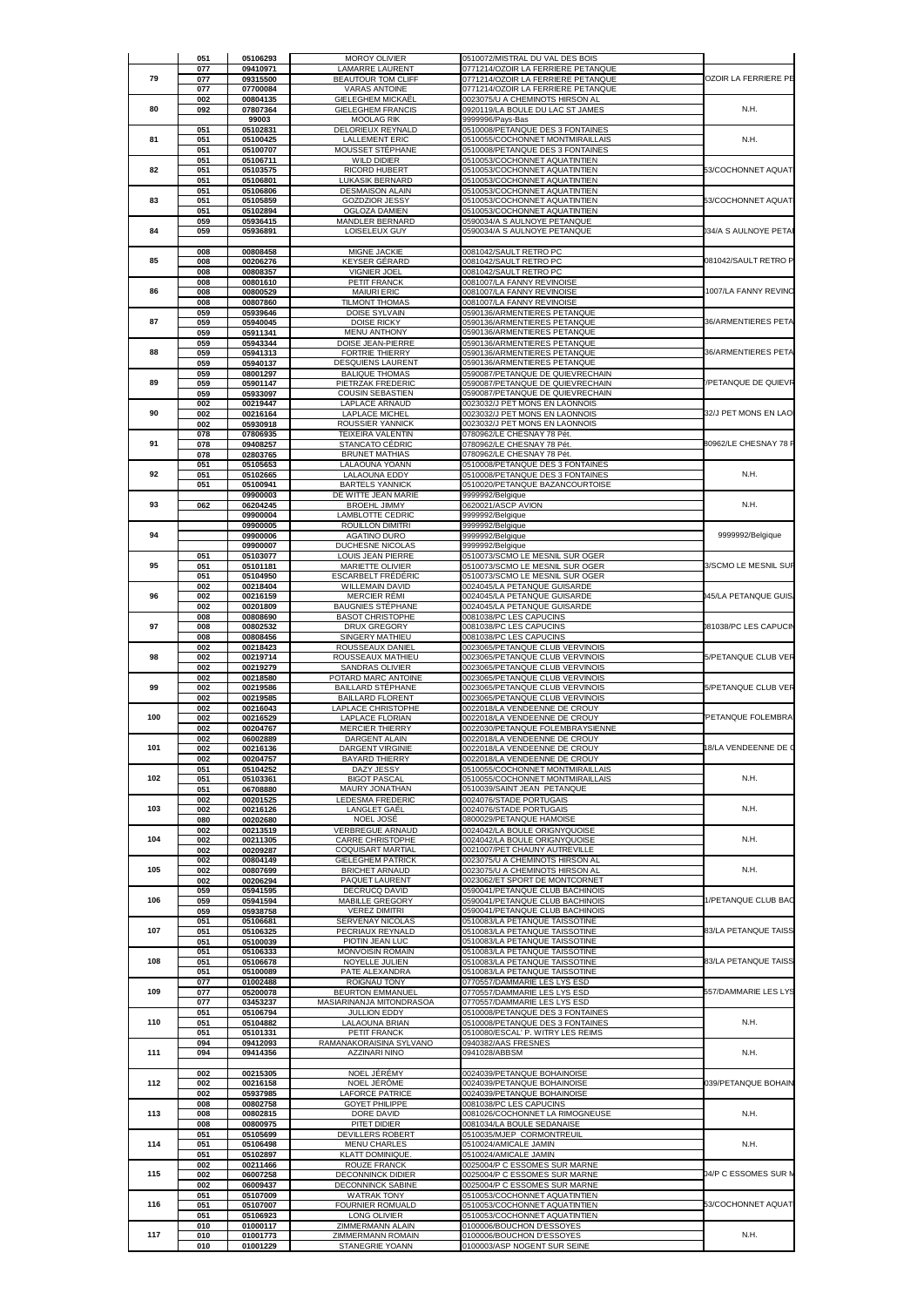|     | 051        | 05106293             | <b>MOROY OLIVIER</b>                                | 0510072/MISTRAL DU VAL DES BOIS                                          |                       |
|-----|------------|----------------------|-----------------------------------------------------|--------------------------------------------------------------------------|-----------------------|
|     | 077        | 09410971             | LAMARRE LAURENT                                     | 0771214/OZOIR LA FERRIERE PETANQUE                                       |                       |
| 79  | 077<br>077 | 09315500<br>07700084 | <b>BEAUTOUR TOM CLIFF</b><br><b>VARAS ANTOINE</b>   | 0771214/OZOIR LA FERRIERE PETANQUE<br>0771214/OZOIR LA FERRIERE PETANQUE | OZOIR LA FERRIERE PE  |
|     | 002        | 00804135             | <b>GIELEGHEM MICKAËL</b>                            | 0023075/U A CHEMINOTS HIRSON AL                                          |                       |
| 80  | 092        | 07807364<br>99003    | <b>GIELEGHEM FRANCIS</b><br><b>MOOLAG RIK</b>       | 0920119/LA BOULE DU LAC ST JAMES<br>9999996/Pays-Bas                     | N.H.                  |
|     | 051        | 05102831             | DELORIEUX REYNALD                                   | 0510008/PETANQUE DES 3 FONTAINES                                         |                       |
| 81  | 051<br>051 | 05100425<br>05100707 | <b>LALLEMENT ERIC</b><br>MOUSSET STÉPHANE           | 0510055/COCHONNET MONTMIRAILLAIS<br>0510008/PETANQUE DES 3 FONTAINES     | N.H.                  |
| 82  | 051        | 05106711             | <b>WILD DIDIER</b>                                  | 0510053/COCHONNET AQUATINTIEN                                            |                       |
|     | 051<br>051 | 05103575<br>05106801 | <b>RICORD HUBERT</b><br>LUKASIK BERNARD             | 0510053/COCHONNET AQUATINTIEN<br>0510053/COCHONNET AQUATINTIEN           | 53/COCHONNET AQUAT    |
| 83  | 051<br>051 | 05106806             | <b>DESMAISON ALAIN</b>                              | 0510053/COCHONNET AQUATINTIEN                                            | 53/COCHONNET AQUAT    |
|     | 051        | 05105859<br>05102894 | <b>GOZDZIOR JESSY</b><br>OGLOZA DAMIEN              | 0510053/COCHONNET AQUATINTIEN<br>0510053/COCHONNET AQUATINTIEN           |                       |
| 84  | 059<br>059 | 05936415<br>05936891 | MANDLER BERNARD<br>LOISELEUX GUY                    | 0590034/A S AULNOYE PETANQUE<br>0590034/A S AULNOYE PETANQUE             | 34/A S AULNOYE PETA   |
|     |            |                      |                                                     |                                                                          |                       |
| 85  | 008<br>008 | 00808458<br>00206276 | MIGNE JACKIE<br>KEYSER GÉRARD                       | 0081042/SAULT RETRO PC<br>0081042/SAULT RETRO PC                         | 081042/SAULT RETRO P  |
|     | 008        | 00808357             | <b>VIGNIER JOEL</b>                                 | 0081042/SAULT RETRO PC                                                   |                       |
| 86  | 008<br>008 | 00801610<br>00800529 | PETIT FRANCK<br><b>MAIURI ERIC</b>                  | 0081007/LA FANNY REVINOISE<br>0081007/LA FANNY REVINOISE                 | 1007/LA FANNY REVINO  |
|     | 008        | 00807860             | <b>TILMONT THOMAS</b>                               | 0081007/LA FANNY REVINOISE                                               |                       |
| 87  | 059<br>059 | 05939646<br>05940045 | DOISE SYLVAIN<br>DOISE RICKY                        | 0590136/ARMENTIERES PETANQUE<br>0590136/ARMENTIERES PETANQUE             | 36/ARMENTIERES PETA   |
|     | 059        | 05911341             | <b>MENU ANTHONY</b>                                 | 0590136/ARMENTIERES PETANQUE                                             |                       |
| 88  | 059<br>059 | 05943344<br>05941313 | DOISE JEAN-PIERRE<br><b>FORTRIE THIERRY</b>         | 0590136/ARMENTIERES PETANQUE<br>0590136/ARMENTIERES PETANQUE             | 36/ARMENTIERES PETA   |
|     | 059        | 05940137             | <b>DESQUIENS LAURENT</b>                            | 0590136/ARMENTIERES PETANQUE                                             |                       |
| 89  | 059<br>059 | 08001297<br>05901147 | <b>BALIQUE THOMAS</b><br>PIETRZAK FREDERIC          | 0590087/PETANQUE DE QUIEVRECHAIN<br>0590087/PETANQUE DE QUIEVRECHAIN     | PETANQUE DE QUIEVR    |
|     | 059        | 05933097             | <b>COUSIN SEBASTIEN</b>                             | 0590087/PETANQUE DE QUIEVRECHAIN                                         |                       |
| 90  | 002<br>002 | 00219447<br>00216164 | LAPLACE ARNAUD<br><b>LAPLACE MICHEL</b>             | 0023032/J PET MONS EN LAONNOIS<br>0023032/J PET MONS EN LAONNOIS         | 32/J PET MONS EN LAO  |
|     | 002        | 05930918             | ROUSSIER YANNICK                                    | 0023032/J PET MONS EN LAONNOIS                                           |                       |
| 91  | 078<br>078 | 07806935<br>09408257 | TEIXEIRA VALENTIN<br><b>STANCATO CÉDRIC</b>         | 0780962/LE CHESNAY 78 Pét.<br>0780962/LE CHESNAY 78 Pét.                 | 80962/LE CHESNAY 78 F |
|     | 078        | 02803765             | <b>BRUNET MATHIAS</b>                               | 0780962/LE CHESNAY 78 Pét                                                |                       |
| 92  | 051<br>051 | 05105653<br>05102665 | LALAOUNA YOANN<br>LALAOUNA EDDY                     | 0510008/PETANQUE DES 3 FONTAINES<br>0510008/PETANQUE DES 3 FONTAINES     | N.H.                  |
|     | 051        | 05100941             | <b>BARTELS YANNICK</b>                              | 0510020/PETANQUE BAZANCOURTOISE                                          |                       |
| 93  | 062        | 09900003<br>06204245 | DE WITTE JEAN MARIE<br><b>BROEHL JIMMY</b>          | 9999992/Belgique<br>0620021/ASCP AVION                                   | N.H.                  |
|     |            | 09900004             | LAMBLOTTE CEDRIC                                    | 9999992/Belgique                                                         |                       |
| 94  |            | 09900005<br>09900006 | ROUILLON DIMITRI<br><b>AGATINO DURO</b>             | 9999992/Belgique<br>9999992/Belgique                                     | 9999992/Belgique      |
|     |            | 09900007             | DUCHESNE NICOLAS                                    | 9999992/Belgique                                                         |                       |
| 95  | 051<br>051 | 05103077<br>05101181 | LOUIS JEAN PIERRE<br>MARIETTE OLIVIER               | 0510073/SCMO LE MESNIL SUR OGER<br>0510073/SCMO LE MESNIL SUR OGER       | 3/SCMO LE MESNIL SUF  |
|     | 051        | 05104950             | <b>ESCARBELT FRÉDÉRIC</b>                           | 0510073/SCMO LE MESNIL SUR OGER                                          |                       |
| 96  | 002<br>002 | 00218404<br>00216159 | <b>WILLEMAIN DAVID</b><br><b>MERCIER RÉMI</b>       | 0024045/LA PETANQUE GUISARDE<br>0024045/LA PETANQUE GUISARDE             | 145/LA PETANQUE GUIS  |
|     | 002<br>008 | 00201809<br>00808690 | <b>BAUGNIES STEPHANE</b><br><b>BASOT CHRISTOPHE</b> | 0024045/LA PETANQUE GUISARDE<br>0081038/PC LES CAPUCINS                  |                       |
| 97  | 008        | 00802532             | DRUX GREGORY                                        | 0081038/PC LES CAPUCINS                                                  | 81038/PC LES CAPUCIN  |
|     | 008<br>002 | 00808456<br>00218423 | SINGERY MATHIEU<br>ROUSSEAUX DANIEL                 | 0081038/PC LES CAPUCINS<br>0023065/PETANQUE CLUB VERVINOIS               |                       |
| 98  | 002        | 00219714             | ROUSSEAUX MATHIEU                                   | 0023065/PETANQUE CLUB VERVINOIS                                          | 5/PETANQUE CLUB VER   |
|     | 002<br>002 | 00219279<br>00218580 | SANDRAS OLIVIER<br>POTARD MARC ANTOINE              | 0023065/PETANQUE CLUB VERVINOIS<br>0023065/PETANQUE CLUB VERVINOIS       |                       |
| 99  | 002        | 00219586             | BAILLARD STÉPHANE                                   | 0023065/PETANQUE CLUB VERVINOIS                                          | 5/PETANQUE CLUB VER   |
|     | 002<br>002 | 00219585<br>00216043 | <b>BAILLARD FLORENT</b><br>LAPLACE CHRISTOPHE       | 0023065/PETANQUE CLUB VERVINOIS<br>0022018/LA VENDEENNE DE CROUY         |                       |
| 100 | 002        | 00216529             | LAPLACE FLORIAN                                     | 0022018/LA VENDEENNE DE CROUY                                            | PETANQUE FOLEMBRA     |
|     | 002<br>002 | 00204767<br>06002889 | <b>MERCIER THIERRY</b><br>DARGENT ALAIN             | 0022030/PETANQUE FOLEMBRAYSIENNE<br>0022018/LA VENDEENNE DE CROUY        |                       |
| 101 | 002        | 00216136             | DARGENT VIRGINIE                                    | 0022018/LA VENDEENNE DE CROUY                                            | 18/LA VENDEENNE DE O  |
|     | 002<br>051 | 00204757<br>05104252 | <b>BAYARD THIERRY</b><br>DAZY JESSY                 | 0022018/LA VENDEENNE DE CROUY<br>0510055/COCHONNET MONTMIRAILLAIS        |                       |
| 102 | 051        | 05103361             | <b>BIGOT PASCAL</b>                                 | 0510055/COCHONNET MONTMIRAILLAIS                                         | N.H.                  |
|     | 051<br>002 | 06708880<br>00201525 | MAURY JONATHAN<br>LEDESMA FREDERIC                  | 0510039/SAINT JEAN PETANQUE<br>0024076/STADE PORTUGAIS                   |                       |
| 103 | 002        | 00216126             | LANGLET GAËL                                        | 0024076/STADE PORTUGAIS                                                  | N.H.                  |
|     | 080<br>002 | 00202680<br>00213519 | NOEL JOSÉ<br>VERBREGUE ARNAUD                       | 0800029/PETANQUE HAMOISE<br>0024042/LA BOULE ORIGNYQUOISE                |                       |
| 104 | 002        | 00211305             | <b>CARRE CHRISTOPHE</b>                             | 0024042/LA BOULE ORIGNYQUOISE                                            | N.H.                  |
|     | 002<br>002 | 00209287<br>00804149 | COQUISART MARTIAL<br><b>GIELEGHEM PATRICK</b>       | 0021007/PET CHAUNY AUTREVILLE<br>0023075/U A CHEMINOTS HIRSON AL         |                       |
| 105 | 002        | 00807699             | <b>BRICHET ARNAUD</b>                               | 0023075/U A CHEMINOTS HIRSON AL                                          | N.H.                  |
|     | 002<br>059 | 00206294<br>05941595 | PAQUET LAURENT<br>DECRUCQ DAVID                     | 0023062/ET SPORT DE MONTCORNET<br>0590041/PETANQUE CLUB BACHINOIS        |                       |
| 106 | 059        | 05941594             | MABILLE GREGORY                                     | 0590041/PETANQUE CLUB BACHINOIS                                          | 1/PETANQUE CLUB BAC   |
|     | 059<br>051 | 05938758<br>05106681 | <b>VEREZ DIMITRI</b><br>SERVENAY NICOLAS            | 0590041/PETANQUE CLUB BACHINOIS<br>0510083/LA PETANQUE TAISSOTINE        |                       |
| 107 | 051        | 05106325<br>05100039 | PECRIAUX REYNALD                                    | 0510083/LA PETANQUE TAISSOTINE                                           | 33/LA PETANQUE TAISS  |
|     | 051<br>051 | 05106333             | PIOTIN JEAN LUC<br>MONVOISIN ROMAIN                 | 0510083/LA PETANQUE TAISSOTINE<br>0510083/LA PETANQUE TAISSOTINE         |                       |
| 108 | 051        | 05106678             | NOYELLE JULIEN<br>PATE ALEXANDRA                    | 0510083/LA PETANQUE TAISSOTINE                                           | 83/LA PETANQUE TAISS  |
|     | 051<br>077 | 05100089<br>01002488 | ROIGNAU TONY                                        | 0510083/LA PETANQUE TAISSOTINE<br>0770557/DAMMARIE LES LYS ESD           |                       |
| 109 | 077<br>077 | 05200078<br>03453237 | <b>BEURTON EMMANUEL</b><br>MASIARINANJA MITONDRASOA | 0770557/DAMMARIE LES LYS ESD<br>0770557/DAMMARIE LES LYS ESD             | 557/DAMMARIE LES LYS  |
|     | 051        | 05106794             | <b>JULLION EDDY</b>                                 | 0510008/PETANQUE DES 3 FONTAINES                                         |                       |
| 110 | 051<br>051 | 05104882<br>05101331 | LALAOUNA BRIAN<br>PETIT FRANCK                      | 0510008/PETANQUE DES 3 FONTAINES<br>0510080/ESCAL' P. WITRY LES REIMS    | N.H.                  |
|     | 094        | 09412093             | RAMANAKORAISINA SYLVANO                             | 0940382/AAS FRESNES                                                      |                       |
| 111 | 094        | 09414356             | AZZINARI NINO                                       | 0941028/ABBSM                                                            | N.H.                  |
|     | 002        | 00215305             | NOEL JÉRÉMY                                         | 0024039/PETANQUE BOHAINOISE                                              |                       |
| 112 | 002<br>002 | 00216158<br>05937985 | NOEL JÉRÔME<br><b>LAFORCE PATRICE</b>               | 0024039/PETANQUE BOHAINOISE<br>0024039/PETANQUE BOHAINOISE               | 039/PETANQUE BOHAIN   |
|     | 008        | 00802758             | GOYET PHILIPPE                                      | 0081038/PC LES CAPUCINS                                                  |                       |
| 113 | 008<br>008 | 00802815<br>00800975 | DORE DAVID<br>PITET DIDIER                          | 0081026/COCHONNET LA RIMOGNEUSE<br>0081034/LA BOULE SEDANAISE            | N.H.                  |
|     | 051        | 05105699             | <b>DEVILLERS ROBERT</b>                             | 0510035/MJEP CORMONTREUIL                                                |                       |
|     | 051<br>051 | 05106498             | <b>MENU CHARLES</b>                                 | 0510024/AMICALE JAMIN                                                    | N.H.                  |
| 114 |            | 05102897<br>00211466 | KLATT DOMINIQUE.<br>ROUZE FRANCK                    | 0510024/AMICALE JAMIN<br>0025004/P C ESSOMES SUR MARNE                   |                       |
|     | 002        | 06007258             | <b>DECONNINCK DIDIER</b>                            | 0025004/P C ESSOMES SUR MARNE                                            | 04/P C ESSOMES SUR N  |
| 115 | 002        |                      |                                                     | 0025004/P C ESSOMES SUR MARNE                                            |                       |
|     | 002<br>051 | 06009437<br>05107009 | <b>DECONNINCK SABINE</b><br><b>WATRAK TONY</b>      | 0510053/COCHONNET AQUATINTIEN                                            |                       |
| 116 | 051        | 05107007             | FOURNIER ROMUALD                                    | 0510053/COCHONNET AQUATINTIEN                                            | 53/COCHONNET AQUATI   |
|     | 051<br>010 | 05106923<br>01000117 | LONG OLIVIER<br>ZIMMERMANN ALAIN                    | 0510053/COCHONNET AQUATINTIEN<br>0100006/BOUCHON D'ESSOYES               |                       |